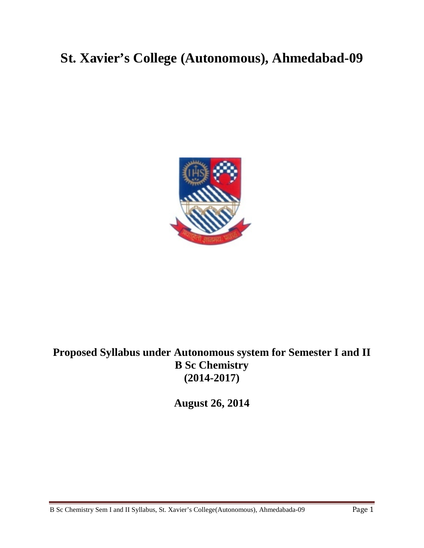# **St. Xavier's College (Autonomous), Ahmedabad-09**



# **Proposed Syllabus under Autonomous system for Semester I and II B Sc Chemistry (2014-2017)**

**August 26, 2014**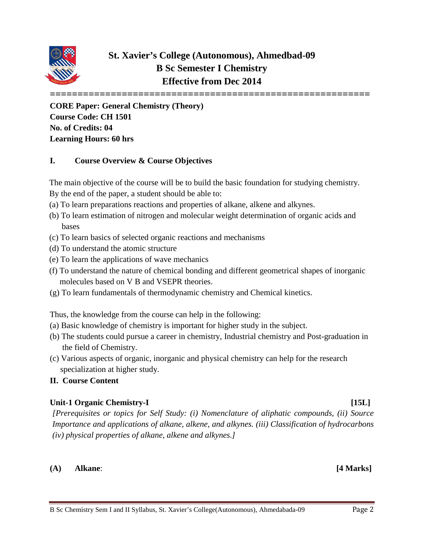

## **St. Xavier's College (Autonomous), Ahmedbad-09 B Sc Semester I Chemistry Effective from Dec 2014**

**==========================================================**

**CORE Paper: General Chemistry (Theory) Course Code: CH 1501 No. of Credits: 04 Learning Hours: 60 hrs**

### **I. Course Overview & Course Objectives**

The main objective of the course will be to build the basic foundation for studying chemistry.

- By the end of the paper, a student should be able to:
- (a) To learn preparations reactions and properties of alkane, alkene and alkynes.
- (b) To learn estimation of nitrogen and molecular weight determination of organic acids and bases
- (c) To learn basics of selected organic reactions and mechanisms
- (d) To understand the atomic structure
- (e) To learn the applications of wave mechanics
- (f) To understand the nature of chemical bonding and different geometrical shapes of inorganic molecules based on V B and VSEPR theories.
- (g) To learn fundamentals of thermodynamic chemistry and Chemical kinetics.

Thus, the knowledge from the course can help in the following:

- (a) Basic knowledge of chemistry is important for higher study in the subject.
- (b) The students could pursue a career in chemistry, Industrial chemistry and Post-graduation in the field of Chemistry.
- (c) Various aspects of organic, inorganic and physical chemistry can help for the research specialization at higher study.

### **II. Course Content**

### **Unit-1 Organic Chemistry-I [15L]**

*[Prerequisites or topics for Self Study: (i) Nomenclature of aliphatic compounds, (ii) Source Importance and applications of alkane, alkene, and alkynes. (iii) Classification of hydrocarbons (iv) physical properties of alkane, alkene and alkynes.]*

### **(A) Alkane**: **[4 Marks]**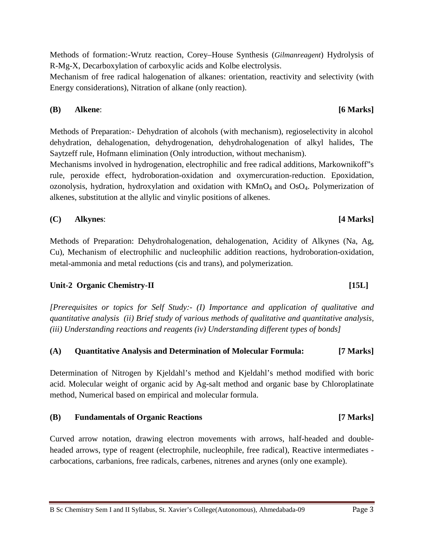Methods of formation:-Wrutz reaction, Corey–House Synthesis (*Gilmanreagent*) Hydrolysis of R-Mg-X, Decarboxylation of carboxylic acids and Kolbe electrolysis.

Mechanism of free radical halogenation of alkanes: orientation, reactivity and selectivity (with Energy considerations), Nitration of alkane (only reaction).

**(B) Alkene**: **[6 Marks]**

Methods of Preparation:- Dehydration of alcohols (with mechanism), regioselectivity in alcohol dehydration, dehalogenation, dehydrogenation, dehydrohalogenation of alkyl halides, The Saytzeff rule, Hofmann elimination (Only introduction, without mechanism).

Mechanisms involved in hydrogenation, electrophilic and free radical additions, Markownikoff"s rule, peroxide effect, hydroboration-oxidation and oxymercuration-reduction. Epoxidation, ozonolysis, hydration, hydroxylation and oxidation with KMnO4 and OsO4. Polymerization of alkenes, substitution at the allylic and vinylic positions of alkenes.

**(C) Alkynes**: **[4 Marks]**

Methods of Preparation: Dehydrohalogenation, dehalogenation, Acidity of Alkynes (Na, Ag, Cu), Mechanism of electrophilic and nucleophilic addition reactions, hydroboration-oxidation, metal-ammonia and metal reductions (cis and trans), and polymerization.

### **Unit-2 Organic Chemistry-II [15L]**

*[Prerequisites or topics for Self Study:- (I) Importance and application of qualitative and quantitative analysis (ii) Brief study of various methods of qualitative and quantitative analysis, (iii) Understanding reactions and reagents (iv) Understanding different types of bonds]*

### **(A) Quantitative Analysis and Determination of Molecular Formula: [7 Marks]**

Determination of Nitrogen by Kjeldahl's method and Kjeldahl's method modified with boric acid. Molecular weight of organic acid by Ag-salt method and organic base by Chloroplatinate method, Numerical based on empirical and molecular formula.

### **(B) Fundamentals of Organic Reactions [7 Marks]**

Curved arrow notation, drawing electron movements with arrows, half-headed and doubleheaded arrows, type of reagent (electrophile, nucleophile, free radical), Reactive intermediates carbocations, carbanions, free radicals, carbenes, nitrenes and arynes (only one example).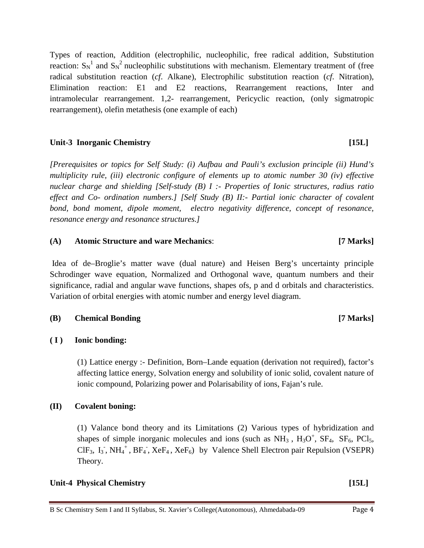Types of reaction, Addition (electrophilic, nucleophilic, free radical addition, Substitution reaction:  $S_N^1$  and  $S_N^2$  nucleophilic substitutions with mechanism. Elementary treatment of (free radical substitution reaction (*cf*. Alkane), Electrophilic substitution reaction (*cf*. Nitration), Elimination reaction: E1 and E2 reactions, Rearrangement reactions, Inter and intramolecular rearrangement. 1,2- rearrangement, Pericyclic reaction, (only sigmatropic rearrangement), olefin metathesis (one example of each)

### **Unit-3 Inorganic Chemistry [15L]**

*[Prerequisites or topics for Self Study: (i) Aufbau and Pauli's exclusion principle (ii) Hund's multiplicity rule, (iii) electronic configure of elements up to atomic number 30 (iv) effective nuclear charge and shielding [Self-study (B) I :- Properties of Ionic structures, radius ratio effect and Co- ordination numbers.] [Self Study (B) II:- Partial ionic character of covalent bond, bond moment, dipole moment, electro negativity difference, concept of resonance, resonance energy and resonance structures.]*

### **(A) Atomic Structure and ware Mechanics**: **[7 Marks]**

Idea of de–Broglie's matter wave (dual nature) and Heisen Berg's uncertainty principle Schrodinger wave equation, Normalized and Orthogonal wave, quantum numbers and their significance, radial and angular wave functions, shapes ofs, p and d orbitals and characteristics. Variation of orbital energies with atomic number and energy level diagram.

### **(B) Chemical Bonding [7 Marks]**

### **( I ) Ionic bonding:**

(1) Lattice energy :- Definition, Born–Lande equation (derivation not required), factor's affecting lattice energy, Solvation energy and solubility of ionic solid, covalent nature of ionic compound, Polarizing power and Polarisability of ions, Fajan's rule.

### **(II) Covalent boning:**

(1) Valance bond theory and its Limitations (2) Various types of hybridization and shapes of simple inorganic molecules and ions (such as  $NH_3$ ,  $H_3O^+$ ,  $SF_4$ ,  $SF_6$ ,  $PCl_5$ ,  $CIF_3$ ,  $I_3$ , NH<sub>4</sub><sup>+</sup>, BF<sub>4</sub>, XeF<sub>4</sub>, XeF<sub>6</sub>) by Valence Shell Electron pair Repulsion (VSEPR) Theory.

### **Unit-4 Physical Chemistry [15L]**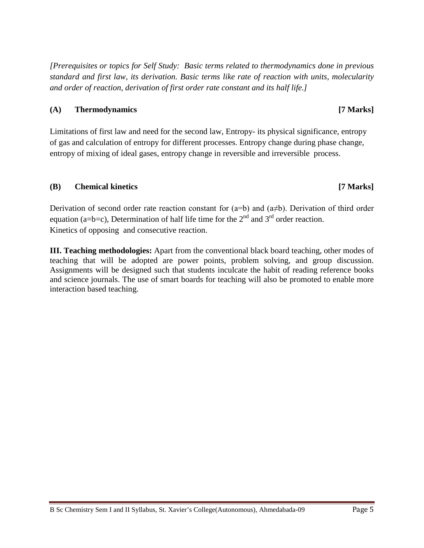*[Prerequisites or topics for Self Study: Basic terms related to thermodynamics done in previous standard and first law, its derivation. Basic terms like rate of reaction with units, molecularity and order of reaction, derivation of first order rate constant and its half life.]*

### **(A) Thermodynamics [7 Marks]**

Limitations of first law and need for the second law, Entropy- its physical significance, entropy of gas and calculation of entropy for different processes. Entropy change during phase change, entropy of mixing of ideal gases, entropy change in reversible and irreversible process.

### **(B) Chemical kinetics [7 Marks]**

Derivation of second order rate reaction constant for  $(a=b)$  and  $(a\neq b)$ . Derivation of third order equation (a=b=c), Determination of half life time for the  $2<sup>nd</sup>$  and  $3<sup>rd</sup>$  order reaction. Kinetics of opposing and consecutive reaction.

**III. Teaching methodologies:** Apart from the conventional black board teaching, other modes of teaching that will be adopted are power points, problem solving, and group discussion. Assignments will be designed such that students inculcate the habit of reading reference books and science journals. The use of smart boards for teaching will also be promoted to enable more interaction based teaching.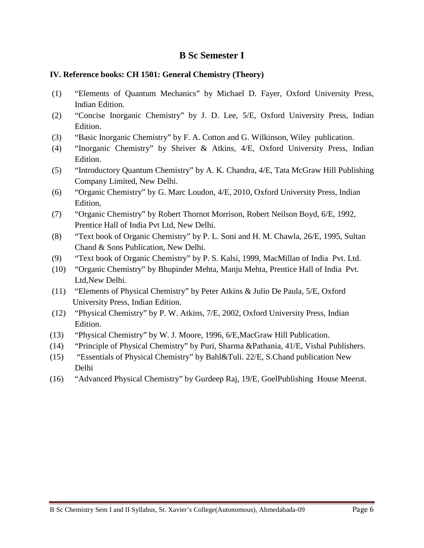### **IV. Reference books: CH 1501: General Chemistry (Theory)**

- (1) "Elements of Quantum Mechanics" by Michael D. Fayer, Oxford University Press, Indian Edition.
- (2) "Concise Inorganic Chemistry" by J. D. Lee, 5/E, Oxford University Press, Indian Edition.
- (3) "Basic Inorganic Chemistry" by F. A. Cotton and G. Wilkinson, Wiley publication.
- (4) "Inorganic Chemistry" by Shriver & Atkins, 4/E, Oxford University Press, Indian Edition.
- (5) "Introductory Quantum Chemistry" by A. K. Chandra, 4/E, Tata McGraw Hill Publishing Company Limited, New Delhi.
- (6) "Organic Chemistry" by G. Marc Loudon, 4/E, 2010, Oxford University Press, Indian Edition,
- (7) "Organic Chemistry" by Robert Thornot Morrison, Robert Neilson Boyd, 6/E, 1992, Prentice Hall of India Pvt Ltd, New Delhi.
- (8) "Text book of Organic Chemistry" by P. L. Soni and H. M. Chawla, 26/E, 1995, Sultan Chand & Sons Publication, New Delhi.
- (9) "Text book of Organic Chemistry" by P. S. Kalsi, 1999, MacMillan of India Pvt. Ltd.
- (10) "Organic Chemistry" by Bhupinder Mehta, Manju Mehta, Prentice Hall of India Pvt. Ltd,New Delhi.
- (11) "Elements of Physical Chemistry" by Peter Atkins & Julio De Paula, 5/E, Oxford University Press, Indian Edition.
- (12) "Physical Chemistry" by P. W. Atkins, 7/E, 2002, Oxford University Press, Indian Edition.
- (13) "Physical Chemistry" by W. J. Moore, 1996, 6/E,MacGraw Hill Publication.
- (14) "Principle of Physical Chemistry" by Puri, Sharma &Pathania, 41/E, Vishal Publishers.
- (15) "Essentials of Physical Chemistry" by Bahl&Tuli. 22/E, S.Chand publication New Delhi
- (16) "Advanced Physical Chemistry" by Gurdeep Raj, 19/E, GoelPublishing House Meerut.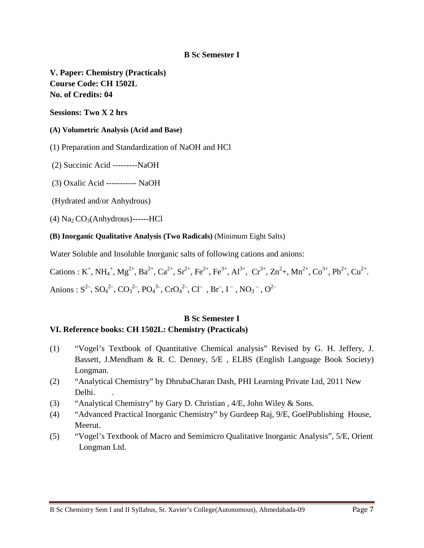**V. Paper: Chemistry (Practicals) Course Code: CH 1502L No. of Credits: 04**

**Sessions: Two X 2 hrs**

### **(A) Volumetric Analysis (Acid and Base)**

(1) Preparation and Standardization of NaOH and HCl

(2) Succinic Acid ---------NaOH

(3) Oxalic Acid ----------- NaOH

(Hydrated and/or Anhydrous)

 $(4)$  Na<sub>2</sub> CO<sub>3</sub>(Anhydrous)------HCl

**(B) Inorganic Qualitative Analysis (Two Radicals)** (Minimum Eight Salts)

Water Soluble and Insoluble Inorganic salts of following cations and anions:

Cations : K<sup>+</sup>, NH<sub>4</sub><sup>+</sup>, Mg<sup>2+</sup>, Ba<sup>2+</sup>, Ca<sup>2+</sup>, Sr<sup>2+</sup>, Fe<sup>2+</sup>, Fe<sup>3+</sup>, Al<sup>3+</sup>, Cr<sup>3+</sup>, Zn<sup>2</sup>+, Mn<sup>2+</sup>, Co<sup>3+</sup>, Pb<sup>2+</sup>, Cu<sup>2+</sup>. Anions :  $S^{2-}$ ,  $SO_4^{2-}$ ,  $CO_3^{2-}$ ,  $PO_4^{3-}$ ,  $CrO_4^{2-}$ ,  $Cl^-$ ,  $Br^-$ ,  $I^-$ ,  $NO_3^-$ ,  $O^{2-}$ 

### **B Sc Semester I**

### **VI. Reference books: CH 1502L: Chemistry (Practicals)**

- (1) "Vogel's Textbook of Quantitative Chemical analysis" Revised by G. H. Jeffery, J. Bassett, J.Mendham & R. C. Denney, 5/E , ELBS (English Language Book Society) Longman.
- (2) "Analytical Chemistry" by DhrubaCharan Dash, PHI Learning Private Ltd, 2011 New Delhi.
- (3) "Analytical Chemistry" by Gary D. Christian , 4/E, John Wiley & Sons.
- (4) "Advanced Practical Inorganic Chemistry" by Gurdeep Raj, 9/E, GoelPublishing House, Meerut.
- (5) "Vogel's Textbook of Macro and Semimicro Qualitative Inorganic Analysis", 5/E, Orient Longman Ltd.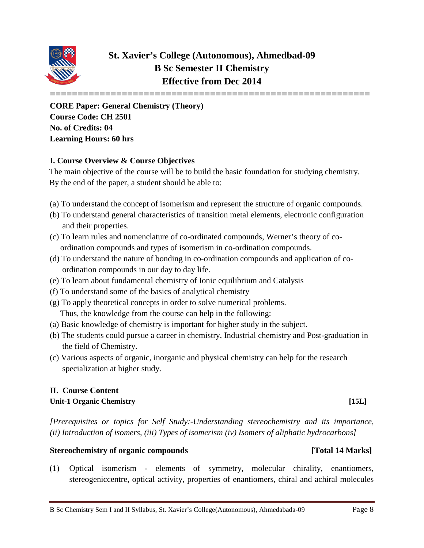

## **St. Xavier's College (Autonomous), Ahmedbad-09 B Sc Semester II Chemistry Effective from Dec 2014**

**==========================================================**

**CORE Paper: General Chemistry (Theory) Course Code: CH 2501 No. of Credits: 04 Learning Hours: 60 hrs**

### **I. Course Overview & Course Objectives**

The main objective of the course will be to build the basic foundation for studying chemistry. By the end of the paper, a student should be able to:

- (a) To understand the concept of isomerism and represent the structure of organic compounds.
- (b) To understand general characteristics of transition metal elements, electronic configuration and their properties.
- (c) To learn rules and nomenclature of co-ordinated compounds, Werner's theory of co ordination compounds and types of isomerism in co-ordination compounds.
- (d) To understand the nature of bonding in co-ordination compounds and application of co ordination compounds in our day to day life.
- (e) To learn about fundamental chemistry of Ionic equilibrium and Catalysis
- (f) To understand some of the basics of analytical chemistry
- (g) To apply theoretical concepts in order to solve numerical problems. Thus, the knowledge from the course can help in the following:
- (a) Basic knowledge of chemistry is important for higher study in the subject.
- (b) The students could pursue a career in chemistry, Industrial chemistry and Post-graduation in the field of Chemistry.
- (c) Various aspects of organic, inorganic and physical chemistry can help for the research specialization at higher study.

### **II. Course Content Unit-1 Organic Chemistry [15L]**

*[Prerequisites or topics for Self Study:-Understanding stereochemistry and its importance, (ii) Introduction of isomers, (iii) Types of isomerism (iv) Isomers of aliphatic hydrocarbons]*

### Stereochemistry of organic compounds [Total 14 Marks]

(1) Optical isomerism - elements of symmetry, molecular chirality, enantiomers, stereogeniccentre, optical activity, properties of enantiomers, chiral and achiral molecules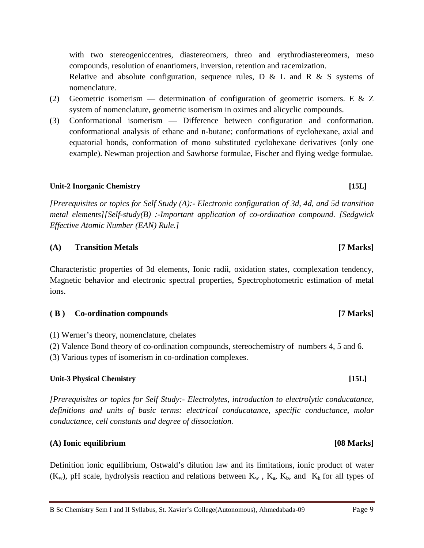with two stereogeniccentres, diastereomers, threo and erythrodiastereomers, meso compounds, resolution of enantiomers, inversion, retention and racemization. Relative and absolute configuration, sequence rules,  $D \& L$  and  $R \& S$  systems of

- (2) Geometric isomerism determination of configuration of geometric isomers. E & Z system of nomenclature, geometric isomerism in oximes and alicyclic compounds.
- (3) Conformational isomerism Difference between configuration and conformation. conformational analysis of ethane and n-butane; conformations of cyclohexane, axial and equatorial bonds, conformation of mono substituted cyclohexane derivatives (only one example). Newman projection and Sawhorse formulae, Fischer and flying wedge formulae.

### **Unit-2 Inorganic Chemistry [15L]**

nomenclature.

*[Prerequisites or topics for Self Study (A):- Electronic configuration of 3d, 4d, and 5d transition metal elements][Self-study(B) :-Important application of co-ordination compound. [Sedgwick Effective Atomic Number (EAN) Rule.]*

### **(A) Transition Metals [7 Marks]**

Characteristic properties of 3d elements, Ionic radii, oxidation states, complexation tendency, Magnetic behavior and electronic spectral properties, Spectrophotometric estimation of metal ions.

**( B ) Co-ordination compounds [7 Marks]**

(1) Werner's theory, nomenclature, chelates

(2) Valence Bond theory of co-ordination compounds, stereochemistry of numbers 4, 5 and 6.

(3) Various types of isomerism in co-ordination complexes.

### **Unit-3 Physical Chemistry [15L]**

*[Prerequisites or topics for Self Study:- Electrolytes, introduction to electrolytic conducatance, definitions and units of basic terms: electrical conducatance, specific conductance, molar conductance, cell constants and degree of dissociation.*

### **(A) Ionic equilibrium [08 Marks]**

Definition ionic equilibrium, Ostwald's dilution law and its limitations, ionic product of water  $(K_w)$ , pH scale, hydrolysis reaction and relations between  $K_w$ ,  $K_a$ ,  $K_b$ , and  $K_h$  for all types of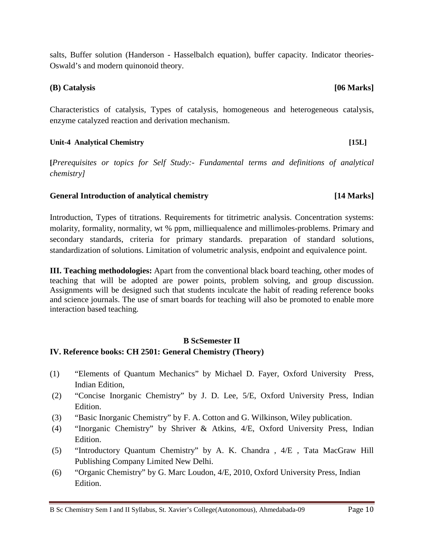salts, Buffer solution (Handerson - Hasselbalch equation), buffer capacity. Indicator theories-Oswald's and modern quinonoid theory.

### **(B) Catalysis [06 Marks]**

Characteristics of catalysis, Types of catalysis, homogeneous and heterogeneous catalysis, enzyme catalyzed reaction and derivation mechanism.

### **Unit-4 Analytical Chemistry [15L]**

**[***Prerequisites or topics for Self Study:- Fundamental terms and definitions of analytical chemistry]*

### **General Introduction of analytical chemistry [14 Marks]**

Introduction, Types of titrations. Requirements for titrimetric analysis. Concentration systems: molarity, formality, normality, wt % ppm, milliequalence and millimoles-problems. Primary and secondary standards, criteria for primary standards. preparation of standard solutions, standardization of solutions. Limitation of volumetric analysis, endpoint and equivalence point.

**III. Teaching methodologies:** Apart from the conventional black board teaching, other modes of teaching that will be adopted are power points, problem solving, and group discussion. Assignments will be designed such that students inculcate the habit of reading reference books and science journals. The use of smart boards for teaching will also be promoted to enable more interaction based teaching.

### **B ScSemester II IV. Reference books: CH 2501: General Chemistry (Theory)**

- (1) "Elements of Quantum Mechanics" by Michael D. Fayer, Oxford University Press, Indian Edition,
- (2) "Concise Inorganic Chemistry" by J. D. Lee, 5/E, Oxford University Press, Indian Edition.
- (3) "Basic Inorganic Chemistry" by F. A. Cotton and G. Wilkinson, Wiley publication.
- (4) "Inorganic Chemistry" by Shriver & Atkins, 4/E, Oxford University Press, Indian Edition.
- (5) "Introductory Quantum Chemistry" by A. K. Chandra , 4/E , Tata MacGraw Hill Publishing Company Limited New Delhi.
- (6) "Organic Chemistry" by G. Marc Loudon, 4/E, 2010, Oxford University Press, Indian Edition.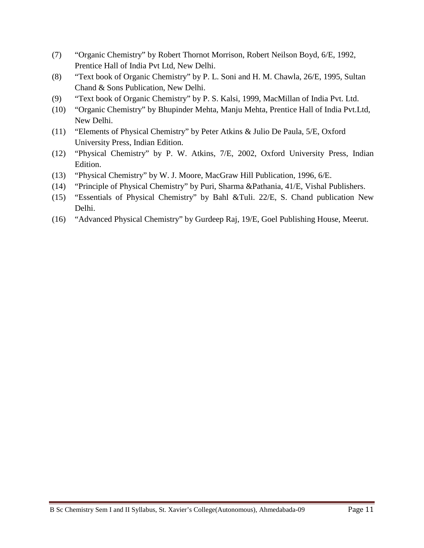- (7) "Organic Chemistry" by Robert Thornot Morrison, Robert Neilson Boyd, 6/E, 1992, Prentice Hall of India Pvt Ltd, New Delhi.
- (8) "Text book of Organic Chemistry" by P. L. Soni and H. M. Chawla, 26/E, 1995, Sultan Chand & Sons Publication, New Delhi.
- (9) "Text book of Organic Chemistry" by P. S. Kalsi, 1999, MacMillan of India Pvt. Ltd.
- (10) "Organic Chemistry" by Bhupinder Mehta, Manju Mehta, Prentice Hall of India Pvt.Ltd, New Delhi.
- (11) "Elements of Physical Chemistry" by Peter Atkins & Julio De Paula, 5/E, Oxford University Press, Indian Edition.
- (12) "Physical Chemistry" by P. W. Atkins, 7/E, 2002, Oxford University Press, Indian Edition.
- (13) "Physical Chemistry" by W. J. Moore, MacGraw Hill Publication, 1996, 6/E.
- (14) "Principle of Physical Chemistry" by Puri, Sharma &Pathania, 41/E, Vishal Publishers.
- (15) "Essentials of Physical Chemistry" by Bahl &Tuli. 22/E, S. Chand publication New Delhi.
- (16) "Advanced Physical Chemistry" by Gurdeep Raj, 19/E, Goel Publishing House, Meerut.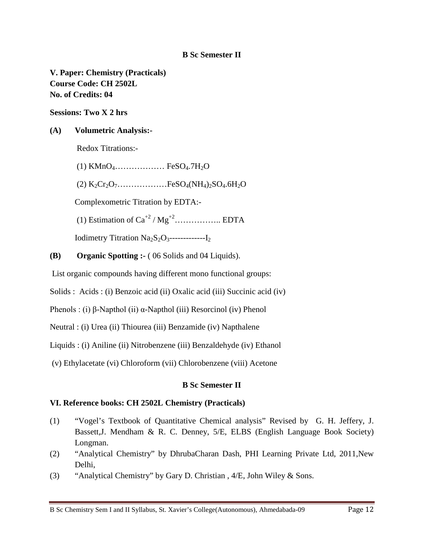**V. Paper: Chemistry (Practicals) Course Code: CH 2502L No. of Credits: 04**

**Sessions: Two X 2 hrs**

### **(A) Volumetric Analysis:-**

Redox Titrations:-

 $(1)$  KMnO<sub>4</sub>..................... FeSO<sub>4</sub>.7H<sub>2</sub>O  $(2) K_2Cr_2O_7$ …………………FeSO<sub>4</sub>(NH<sub>4</sub>)<sub>2</sub>SO<sub>4</sub>.6H<sub>2</sub>O Complexometric Titration by EDTA:- (1) Estimation of Ca+2 / Mg+2…………….. EDTA Iodimetry Titration Na2S2O3-------------I2

**(B) Organic Spotting :-** ( 06 Solids and 04 Liquids).

List organic compounds having different mono functional groups:

Solids : Acids : (i) Benzoic acid (ii) Oxalic acid (iii) Succinic acid (iv)

Phenols : (i) β-Napthol (ii) α-Napthol (iii) Resorcinol (iv) Phenol

Neutral : (i) Urea (ii) Thiourea (iii) Benzamide (iv) Napthalene

Liquids : (i) Aniline (ii) Nitrobenzene (iii) Benzaldehyde (iv) Ethanol

(v) Ethylacetate (vi) Chloroform (vii) Chlorobenzene (viii) Acetone

### **B Sc Semester II**

### **VI. Reference books: CH 2502L Chemistry (Practicals)**

- (1) "Vogel's Textbook of Quantitative Chemical analysis" Revised by G. H. Jeffery, J. Bassett,J. Mendham & R. C. Denney, 5/E, ELBS (English Language Book Society) Longman.
- (2) "Analytical Chemistry" by DhrubaCharan Dash, PHI Learning Private Ltd, 2011,New Delhi,
- (3) "Analytical Chemistry" by Gary D. Christian , 4/E, John Wiley & Sons.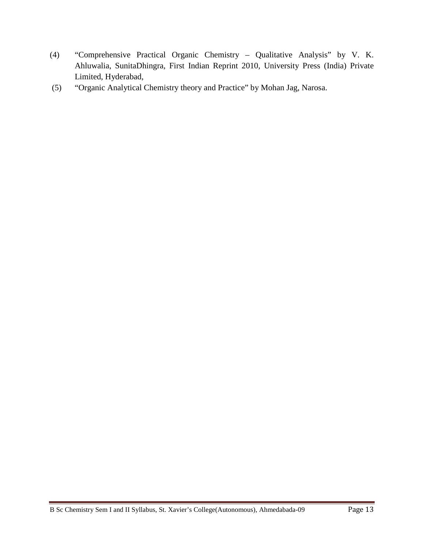- (4) "Comprehensive Practical Organic Chemistry Qualitative Analysis" by V. K. Ahluwalia, SunitaDhingra, First Indian Reprint 2010, University Press (India) Private Limited, Hyderabad,
- (5) "Organic Analytical Chemistry theory and Practice" by Mohan Jag, Narosa.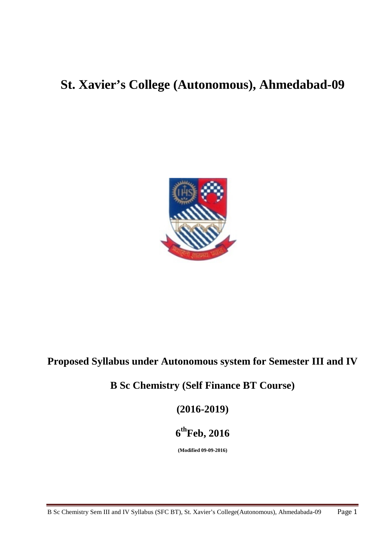# **St. Xavier's College (Autonomous), Ahmedabad-09**



# **Proposed Syllabus under Autonomous system for Semester III and IV**

# **B Sc Chemistry (Self Finance BT Course)**

**(2016-2019)**

# **6thFeb, 2016**

**(Modified 09-09-2016)**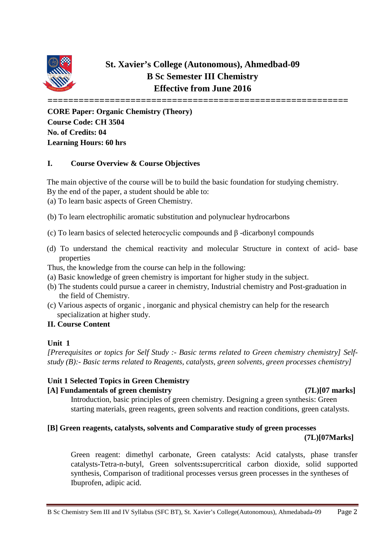

## **St. Xavier's College (Autonomous), Ahmedbad-09 B Sc Semester III Chemistry Effective from June 2016**

**==========================================================**

**CORE Paper: Organic Chemistry (Theory) Course Code: CH 3504 No. of Credits: 04 Learning Hours: 60 hrs**

### **I. Course Overview & Course Objectives**

The main objective of the course will be to build the basic foundation for studying chemistry. By the end of the paper, a student should be able to:

(a) To learn basic aspects of Green Chemistry.

- (b) To learn electrophilic aromatic substitution and polynuclear hydrocarbons
- (c) To learn basics of selected heterocyclic compounds and β -dicarbonyl compounds
- (d) To understand the chemical reactivity and molecular Structure in context of acid- base properties

Thus, the knowledge from the course can help in the following:

- (a) Basic knowledge of green chemistry is important for higher study in the subject.
- (b) The students could pursue a career in chemistry, Industrial chemistry and Post-graduation in the field of Chemistry.
- (c) Various aspects of organic , inorganic and physical chemistry can help for the research specialization at higher study.

### **II. Course Content**

### **Unit 1**

*[Prerequisites or topics for Self Study :- Basic terms related to Green chemistry chemistry] Selfstudy (B):- Basic terms related to Reagents, catalysts, green solvents, green processes chemistry]*

### **Unit 1 Selected Topics in Green Chemistry**

### **[A] Fundamentals of green chemistry (7L)[07 marks]**

Introduction, basic principles of green chemistry. Designing a green synthesis: Green starting materials, green reagents, green solvents and reaction conditions, green catalysts.

### **[B] Green reagents, catalysts, solvents and Comparative study of green processes**

### **(7L)[07Marks]**

Green reagent: dimethyl carbonate, Green catalysts: Acid catalysts, phase transfer catalysts-Tetra-n-butyl, Green solvents**:**supercritical carbon dioxide, solid supported synthesis, Comparison of traditional processes versus green processes in the syntheses of Ibuprofen, adipic acid.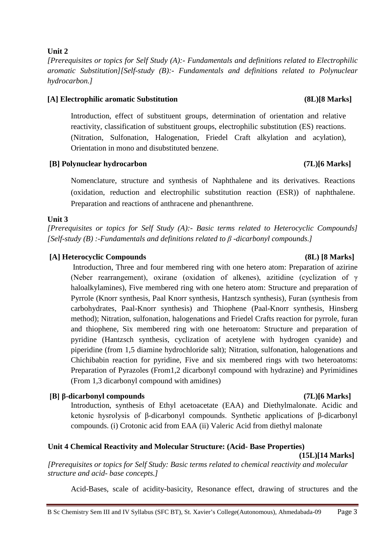### **Unit 2**

*[Prerequisites or topics for Self Study (A):- Fundamentals and definitions related to Electrophilic aromatic Substitution][Self-study (B):- Fundamentals and definitions related to Polynuclear hydrocarbon.]*

### **[A] Electrophilic aromatic Substitution (8L)[8 Marks]**

Introduction, effect of substituent groups, determination of orientation and relative reactivity, classification of substituent groups, electrophilic substitution (ES) reactions. (Nitration, Sulfonation, Halogenation, Friedel Craft alkylation and acylation), Orientation in mono and disubstituted benzene.

### **[B] Polynuclear hydrocarbon (7L)[6 Marks]**

Nomenclature, structure and synthesis of Naphthalene and its derivatives. Reactions (oxidation, reduction and electrophilic substitution reaction (ESR)) of naphthalene. Preparation and reactions of anthracene and phenanthrene.

### **Unit 3**

*[Prerequisites or topics for Self Study (A):- Basic terms related to Heterocyclic Compounds] [Self-study (B) :-Fundamentals and definitions related to β -dicarbonyl compounds.]*

### **[A] Heterocyclic Compounds (8L) [8 Marks]**

Introduction, Three and four membered ring with one hetero atom: Preparation of azirine (Neber rearrangement), oxirane (oxidation of alkenes), azitidine (cyclization of γ haloalkylamines), Five membered ring with one hetero atom: Structure and preparation of Pyrrole (Knorr synthesis, Paal Knorr synthesis, Hantzsch synthesis), Furan (synthesis from carbohydrates, Paal-Knorr synthesis) and Thiophene (Paal-Knorr synthesis, Hinsberg method); Nitration, sulfonation, halogenations and Friedel Crafts reaction for pyrrole, furan and thiophene, Six membered ring with one heteroatom: Structure and preparation of pyridine (Hantzsch synthesis, cyclization of acetylene with hydrogen cyanide) and piperidine (from 1,5 diamine hydrochloride salt); Nitration, sulfonation, halogenations and Chichibabin reaction for pyridine, Five and six membered rings with two heteroatoms: Preparation of Pyrazoles (From1,2 dicarbonyl compound with hydrazine) and Pyrimidines (From 1,3 dicarbonyl compound with amidines)

### **[B] β-dicarbonyl compounds (7L)[6 Marks]**

Introduction, synthesis of Ethyl acetoacetate (EAA) and Diethylmalonate. Acidic and ketonic hysrolysis of β-dicarbonyl compounds. Synthetic applications of β-dicarbonyl compounds. (i) Crotonic acid from EAA (ii) Valeric Acid from diethyl malonate

### **Unit 4 Chemical Reactivity and Molecular Structure: (Acid- Base Properties)**

**(15L)[14 Marks]**

*[Prerequisites or topics for Self Study: Basic terms related to chemical reactivity and molecular structure and acid- base concepts.]*

Acid-Bases, scale of acidity-basicity, Resonance effect, drawing of structures and the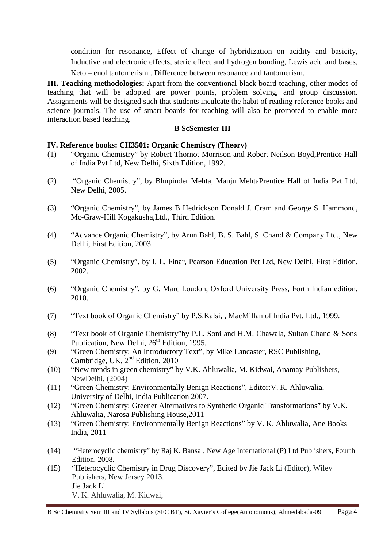condition for resonance, Effect of change of hybridization on acidity and basicity, Inductive and electronic effects, steric effect and hydrogen bonding, Lewis acid and bases, Keto – enol tautomerism . Difference between resonance and tautomerism.

**III. Teaching methodologies:** Apart from the conventional black board teaching, other modes of teaching that will be adopted are power points, problem solving, and group discussion. Assignments will be designed such that students inculcate the habit of reading reference books and science journals. The use of smart boards for teaching will also be promoted to enable more interaction based teaching.

### **B ScSemester III**

### **IV. Reference books: CH3501: Organic Chemistry (Theory)**

- (1) "Organic Chemistry" by Robert Thornot Morrison and Robert Neilson Boyd,Prentice Hall of India Pvt Ltd, New Delhi, Sixth Edition, 1992.
- (2) "Organic Chemistry", by Bhupinder Mehta, Manju MehtaPrentice Hall of India Pvt Ltd, New Delhi, 2005.
- (3) "Organic Chemistry", by James B Hedrickson Donald J. Cram and George S. Hammond, Mc-Graw-Hill Kogakusha,Ltd., Third Edition.
- (4) "Advance Organic Chemistry", by Arun Bahl, B. S. Bahl, S. Chand & Company Ltd., New Delhi, First Edition, 2003.
- (5) "Organic Chemistry", by I. L. Finar, Pearson Education Pet Ltd, New Delhi, First Edition, 2002.
- (6) "Organic Chemistry", by G. Marc Loudon, Oxford University Press, Forth Indian edition, 2010.
- (7) "Text book of Organic Chemistry" by P.S.Kalsi, , MacMillan of India Pvt. Ltd., 1999.
- (8) "Text book of Organic Chemistry"by P.L. Soni and H.M. Chawala, Sultan Chand & Sons Publication, New Delhi, 26<sup>th</sup> Edition, 1995.
- (9) "Green Chemistry: An Introductory Text", by Mike Lancaster, RSC Publishing, Cambridge, UK,  $2<sup>nd</sup>$  Edition, 2010
- (10) "New trends in green chemistry" by V.K. Ahluwalia, M. Kidwai, Anamay Publishers, NewDelhi, (2004)
- (11) "Green Chemistry: Environmentally Benign Reactions"*,* Editor:V. K. Ahluwalia, University of Delhi, India Publication 2007.
- (12) "Green Chemistry: Greener Alternatives to Synthetic Organic Transformations" by V.K. Ahluwalia, Narosa Publishing House,2011
- (13) "Green Chemistry: Environmentally Benign Reactions" by V. K. Ahluwalia, Ane Books India, 2011
- (14) "Heterocyclic chemistry" by Raj K. Bansal, New Age International (P) Ltd Publishers, Fourth Edition, 2008.
- (15) "Heterocyclic Chemistry in Drug Discovery", Edited by Jie Jack Li (Editor), Wiley Publishers, New Jersey 2013. [Jie Jack Li](http://as.wiley.com/WileyCDA/Section/id-302477.html?query=Jie+Jack+Li) V. K. [Ahluwalia,](http://link.springer.com/search?facet-author=%22V.+K.+Ahluwalia%22) M. [Kidwai,](http://link.springer.com/search?facet-author=%22M.+Kidwai%22)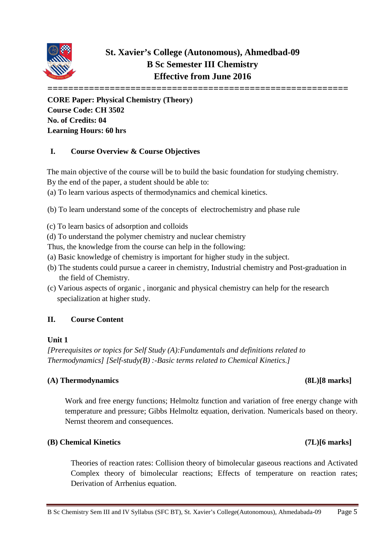

**==========================================================**

**CORE Paper: Physical Chemistry (Theory) Course Code: CH 3502 No. of Credits: 04 Learning Hours: 60 hrs**

### **I. Course Overview & Course Objectives**

The main objective of the course will be to build the basic foundation for studying chemistry.

By the end of the paper, a student should be able to:

(a) To learn various aspects of thermodynamics and chemical kinetics.

(b) To learn understand some of the concepts of electrochemistry and phase rule

- (c) To learn basics of adsorption and colloids
- (d) To understand the polymer chemistry and nuclear chemistry
- Thus, the knowledge from the course can help in the following:
- (a) Basic knowledge of chemistry is important for higher study in the subject.
- (b) The students could pursue a career in chemistry, Industrial chemistry and Post-graduation in the field of Chemistry.
- (c) Various aspects of organic , inorganic and physical chemistry can help for the research specialization at higher study.

### **II. Course Content**

### **Unit 1**

*[Prerequisites or topics for Self Study (A):Fundamentals and definitions related to Thermodynamics] [Self-study(B) :-Basic terms related to Chemical Kinetics.]*

### **(A) Thermodynamics (8L)[8 marks]**

Work and free energy functions; Helmoltz function and variation of free energy change with temperature and pressure; Gibbs Helmoltz equation, derivation. Numericals based on theory. Nernst theorem and consequences.

### **(B) Chemical Kinetics (7L)[6 marks]**

Theories of reaction rates: Collision theory of bimolecular gaseous reactions and Activated Complex theory of bimolecular reactions; Effects of temperature on reaction rates; Derivation of Arrhenius equation.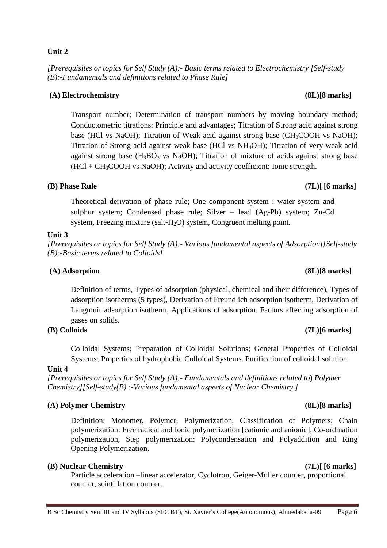### **Unit 2**

*[Prerequisites or topics for Self Study (A):- Basic terms related to Electrochemistry [Self-study (B):-Fundamentals and definitions related to Phase Rule]*

### **(A) Electrochemistry (8L)[8 marks]**

Transport number; Determination of transport numbers by moving boundary method; Conductometric titrations: Principle and advantages; Titration of Strong acid against strong base (HCl vs NaOH); Titration of Weak acid against strong base (CH<sub>3</sub>COOH vs NaOH); Titration of Strong acid against weak base (HCl vs NH4OH); Titration of very weak acid against strong base  $(H_3BO_3 \text{ vs } NaOH)$ ; Titration of mixture of acids against strong base  $(HCl + CH<sub>3</sub>COOH$  vs NaOH); Activity and activity coefficient; Ionic strength.

### **(B) Phase Rule (7L)[ [6 marks]**

Theoretical derivation of phase rule; One component system : water system and sulphur system; Condensed phase rule; Silver – lead (Ag-Pb) system; Zn-Cd system, Freezing mixture (salt-H<sub>2</sub>O) system, Congruent melting point.

### **Unit 3**

*[Prerequisites or topics for Self Study (A):- Various fundamental aspects of Adsorption][Self-study (B):-Basic terms related to Colloids]*

### **(A) Adsorption (8L)[8 marks]**

Definition of terms, Types of adsorption (physical, chemical and their difference), Types of adsorption isotherms (5 types), Derivation of Freundlich adsorption isotherm, Derivation of Langmuir adsorption isotherm, Applications of adsorption. Factors affecting adsorption of gases on solids.

### **(B) Colloids (7L)[6 marks]**

Colloidal Systems; Preparation of Colloidal Solutions; General Properties of Colloidal Systems; Properties of hydrophobic Colloidal Systems. Purification of colloidal solution.

### **Unit 4**

*[Prerequisites or topics for Self Study (A):- Fundamentals and definitions related to***)** *Polymer Chemistry][Self-study(B) :-Various fundamental aspects of Nuclear Chemistry.]*

### **(A) Polymer Chemistry (8L)[8 marks]**

Definition: Monomer, Polymer, Polymerization, Classification of Polymers; Chain polymerization: Free radical and Ionic polymerization [cationic and anionic], Co-ordination polymerization, Step polymerization: Polycondensation and Polyaddition and Ring Opening Polymerization.

### **(B) Nuclear Chemistry (7L)[ [6 marks]**

Particle acceleration –linear accelerator, Cyclotron, Geiger-Muller counter, proportional counter, scintillation counter.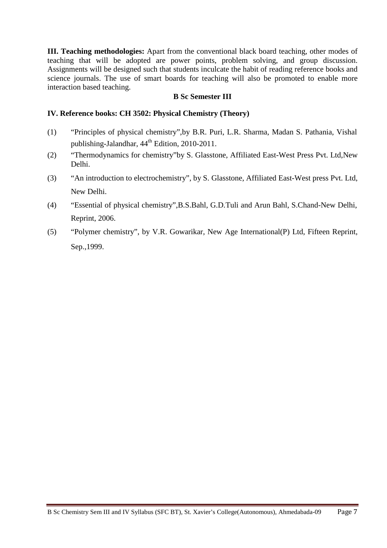**III. Teaching methodologies:** Apart from the conventional black board teaching, other modes of teaching that will be adopted are power points, problem solving, and group discussion. Assignments will be designed such that students inculcate the habit of reading reference books and science journals. The use of smart boards for teaching will also be promoted to enable more interaction based teaching.

### **B Sc Semester III**

### **IV. Reference books: CH 3502: Physical Chemistry (Theory)**

- (1) "Principles of physical chemistry",by B.R. Puri, L.R. Sharma, Madan S. Pathania, Vishal publishing-Jalandhar,  $44^{\text{th}}$  Edition, 2010-2011.
- (2) "Thermodynamics for chemistry"by S. Glasstone, Affiliated East-West Press Pvt. Ltd,New Delhi.
- (3) "An introduction to electrochemistry", by S. Glasstone, Affiliated East-West press Pvt. Ltd, New Delhi.
- (4) "Essential of physical chemistry",B.S.Bahl, G.D.Tuli and Arun Bahl, S.Chand-New Delhi, Reprint, 2006.
- (5) "Polymer chemistry", by V.R. Gowarikar, New Age International(P) Ltd, Fifteen Reprint, Sep.,1999.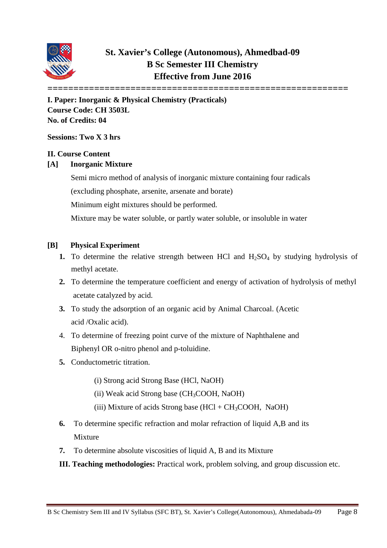

# **St. Xavier's College (Autonomous), Ahmedbad-09 B Sc Semester III Chemistry Effective from June 2016**

**========================================================== I. Paper: Inorganic & Physical Chemistry (Practicals) Course Code: CH 3503L No. of Credits: 04**

**Sessions: Two X 3 hrs**

### **II. Course Content**

### **[A] Inorganic Mixture**

Semi micro method of analysis of inorganic mixture containing four radicals (excluding phosphate, arsenite, arsenate and borate)

Minimum eight mixtures should be performed.

Mixture may be water soluble, or partly water soluble, or insoluble in water

### **[B] Physical Experiment**

- **1.** To determine the relative strength between HCl and  $H_2SO_4$  by studying hydrolysis of methyl acetate.
- **2.** To determine the temperature coefficient and energy of activation of hydrolysis of methyl acetate catalyzed by acid.
- **3.** To study the adsorption of an organic acid by Animal Charcoal. (Acetic acid /Oxalic acid).
- 4. To determine of freezing point curve of the mixture of Naphthalene and Biphenyl OR o-nitro phenol and p-toluidine.
- **5.** Conductometric titration.
	- (i) Strong acid Strong Base (HCl, NaOH)
	- (ii) Weak acid Strong base  $(CH_3COOH, NaOH)$
	- (iii) Mixture of acids Strong base  $(HCl + CH_3COOH, NaOH)$
- **6.** To determine specific refraction and molar refraction of liquid A,B and its Mixture
- **7.** To determine absolute viscosities of liquid A, B and its Mixture
- **III. Teaching methodologies:** Practical work, problem solving, and group discussion etc.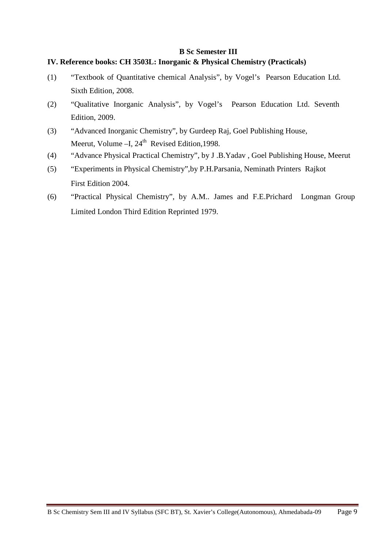### **IV. Reference books: CH 3503L: Inorganic & Physical Chemistry (Practicals)**

- (1) "Textbook of Quantitative chemical Analysis", by Vogel's Pearson Education Ltd. Sixth Edition, 2008.
- (2) "Qualitative Inorganic Analysis", by Vogel's Pearson Education Ltd. Seventh Edition, 2009.
- (3) "Advanced Inorganic Chemistry", by Gurdeep Raj, Goel Publishing House, Meerut, Volume  $-$ I,  $24<sup>th</sup>$  Revised Edition, 1998.
- (4) "Advance Physical Practical Chemistry", by J .B.Yadav , Goel Publishing House, Meerut
- (5) "Experiments in Physical Chemistry",by P.H.Parsania, Neminath Printers Rajkot First Edition 2004.
- (6) "Practical Physical Chemistry", by A.M.. James and F.E.Prichard Longman Group Limited London Third Edition Reprinted 1979.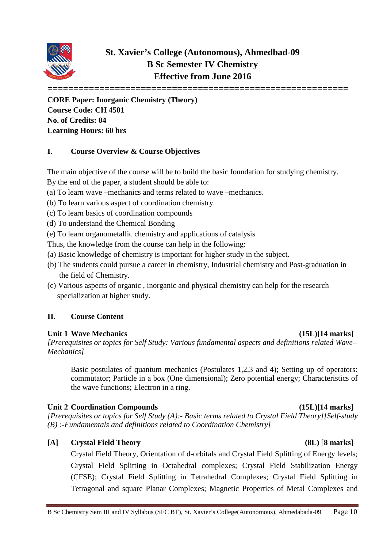

# **St. Xavier's College (Autonomous), Ahmedbad-09 B Sc Semester IV Chemistry Effective from June 2016**

**==========================================================**

**CORE Paper: Inorganic Chemistry (Theory) Course Code: CH 4501 No. of Credits: 04 Learning Hours: 60 hrs**

### **I. Course Overview & Course Objectives**

The main objective of the course will be to build the basic foundation for studying chemistry.

By the end of the paper, a student should be able to:

- (a) To learn wave –mechanics and terms related to wave –mechanics.
- (b) To learn various aspect of coordination chemistry.
- (c) To learn basics of coordination compounds
- (d) To understand the Chemical Bonding
- (e) To learn organometallic chemistry and applications of catalysis

Thus, the knowledge from the course can help in the following:

- (a) Basic knowledge of chemistry is important for higher study in the subject.
- (b) The students could pursue a career in chemistry, Industrial chemistry and Post-graduation in the field of Chemistry.
- (c) Various aspects of organic , inorganic and physical chemistry can help for the research specialization at higher study.

### **II. Course Content**

### **Unit 1 Wave Mechanics (15L)[14 marks]**

*[Prerequisites or topics for Self Study: Various fundamental aspects and definitions related Wave– Mechanics]*

Basic postulates of quantum mechanics (Postulates 1,2,3 and 4); Setting up of operators: commutator; Particle in a box (One dimensional); Zero potential energy; Characteristics of the wave functions; Electron in a ring.

### **Unit 2 Coordination Compounds (15L)[14 marks]**

*[Prerequisites or topics for Self Study (A):- Basic terms related to Crystal Field Theory][Self-study (B) :-Fundamentals and definitions related to Coordination Chemistry]*

### **[A] Crystal Field Theory (8L)** [**8 marks]**

Crystal Field Theory, Orientation of d-orbitals and Crystal Field Splitting of Energy levels; Crystal Field Splitting in Octahedral complexes; Crystal Field Stabilization Energy (CFSE); Crystal Field Splitting in Tetrahedral Complexes; Crystal Field Splitting in Tetragonal and square Planar Complexes; Magnetic Properties of Metal Complexes and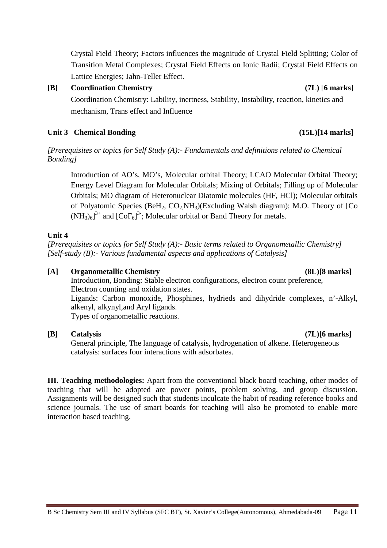Crystal Field Theory; Factors influences the magnitude of Crystal Field Splitting; Color of Transition Metal Complexes; Crystal Field Effects on Ionic Radii; Crystal Field Effects on Lattice Energies; Jahn-Teller Effect.

### **[B] Coordination Chemistry (7L)** [**6 marks]**

Coordination Chemistry: Lability, inertness, Stability, Instability, reaction, kinetics and mechanism, Trans effect and Influence

### Unit 3 Chemical Bonding **(15L)**[14 marks]

*[Prerequisites or topics for Self Study (A):- Fundamentals and definitions related to Chemical Bonding]*

Introduction of AO's, MO's, Molecular orbital Theory; LCAO Molecular Orbital Theory; Energy Level Diagram for Molecular Orbitals; Mixing of Orbitals; Filling up of Molecular Orbitals; MO diagram of Heteronuclear Diatomic molecules (HF, HCl); Molecular orbitals of Polyatomic Species (BeH<sub>2</sub>,  $CO<sub>2</sub>NH<sub>3</sub>$ )(Excluding Walsh diagram); M.O. Theory of [Co  $(NH_3)_6]^3$ <sup>+</sup> and  $[CoF_6]^3$ ; Molecular orbital or Band Theory for metals.

### **Unit 4**

*[Prerequisites or topics for Self Study (A):- Basic terms related to Organometallic Chemistry] [Self-study (B):- Various fundamental aspects and applications of Catalysis]*

### **[A] Organometallic Chemistry (8L)[8 marks]**

Introduction, Bonding: Stable electron configurations, electron count preference, Electron counting and oxidation states. Ligands: Carbon monoxide, Phosphines, hydrieds and dihydride complexes, n'-Alkyl, alkenyl, alkynyl,and Aryl ligands. Types of organometallic reactions.

### **[B] Catalysis (7L)[6 marks]**

General principle, The language of catalysis, hydrogenation of alkene. Heterogeneous catalysis: surfaces four interactions with adsorbates.

**III. Teaching methodologies:** Apart from the conventional black board teaching, other modes of teaching that will be adopted are power points, problem solving, and group discussion. Assignments will be designed such that students inculcate the habit of reading reference books and science journals. The use of smart boards for teaching will also be promoted to enable more interaction based teaching.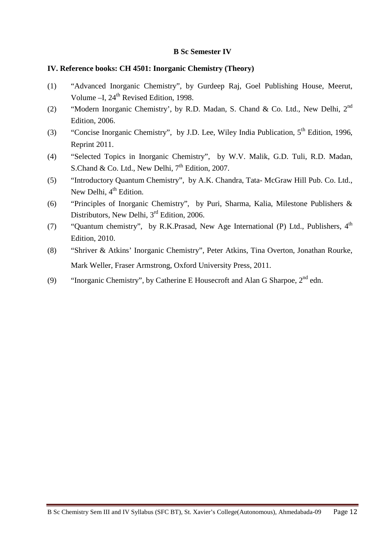### **IV. Reference books: CH 4501: Inorganic Chemistry (Theory)**

- (1) "Advanced Inorganic Chemistry", by Gurdeep Raj, Goel Publishing House, Meerut, Volume – I, 24<sup>th</sup> Revised Edition, 1998.
- (2) "Modern Inorganic Chemistry', by R.D. Madan, S. Chand & Co. Ltd., New Delhi, 2nd Edition, 2006.
- (3) "Concise Inorganic Chemistry", by J.D. Lee, Wiley India Publication,  $5<sup>th</sup>$  Edition, 1996, Reprint 2011.
- (4) "Selected Topics in Inorganic Chemistry", by W.V. Malik, G.D. Tuli, R.D. Madan, S.Chand & Co. Ltd., New Delhi,  $7<sup>th</sup>$  Edition, 2007.
- (5) "Introductory Quantum Chemistry", by A.K. Chandra, Tata- McGraw Hill Pub. Co. Ltd., New Delhi, 4<sup>th</sup> Edition.
- (6) "Principles of Inorganic Chemistry", by Puri, Sharma, Kalia, Milestone Publishers & Distributors, New Delhi, 3<sup>rd</sup> Edition, 2006.
- (7) "Quantum chemistry", by R.K.Prasad, New Age International (P) Ltd., Publishers,  $4<sup>th</sup>$ Edition, 2010.
- (8) "Shriver & Atkins' Inorganic Chemistry", Peter Atkins, Tina Overton, Jonathan Rourke, Mark Weller, Fraser Armstrong, Oxford University Press, 2011.
- (9) "Inorganic Chemistry", by Catherine E Housecroft and Alan G Sharpoe,  $2^{nd}$  edn.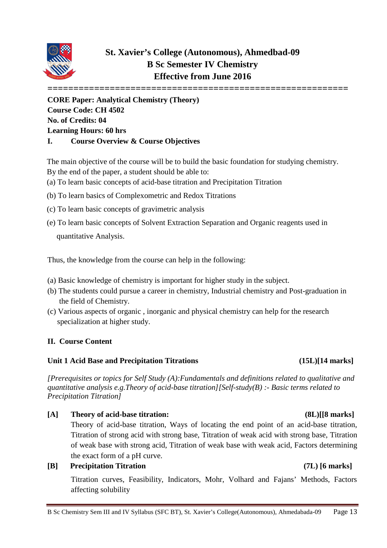

# **St. Xavier's College (Autonomous), Ahmedbad-09 B Sc Semester IV Chemistry Effective from June 2016**

**========================================================== CORE Paper: Analytical Chemistry (Theory) Course Code: CH 4502 No. of Credits: 04 Learning Hours: 60 hrs I. Course Overview & Course Objectives**

The main objective of the course will be to build the basic foundation for studying chemistry. By the end of the paper, a student should be able to:

- (a) To learn basic concepts of acid-base titration and Precipitation Titration
- (b) To learn basics of Complexometric and Redox Titrations
- (c) To learn basic concepts of gravimetric analysis
- (e) To learn basic concepts of Solvent Extraction Separation and Organic reagents used in quantitative Analysis.

Thus, the knowledge from the course can help in the following:

- (a) Basic knowledge of chemistry is important for higher study in the subject.
- (b) The students could pursue a career in chemistry, Industrial chemistry and Post-graduation in the field of Chemistry.
- (c) Various aspects of organic , inorganic and physical chemistry can help for the research specialization at higher study.

### **II. Course Content**

### **Unit 1 Acid Base and Precipitation Titrations (15L)[14 marks]**

*[Prerequisites or topics for Self Study (A):Fundamentals and definitions related to qualitative and quantitative analysis e.g.Theory of acid-base titration][Self-study(B) :- Basic terms related to Precipitation Titration]*

**[A] Theory of acid-base titration: (8L)[[8 marks]** Theory of acid-base titration, Ways of locating the end point of an acid-base titration, Titration of strong acid with strong base, Titration of weak acid with strong base, Titration of weak base with strong acid, Titration of weak base with weak acid, Factors determining the exact form of a pH curve. **[B] Precipitation Titration (7L) [6 marks]**

Titration curves, Feasibility, Indicators, Mohr, Volhard and Fajans' Methods, Factors affecting solubility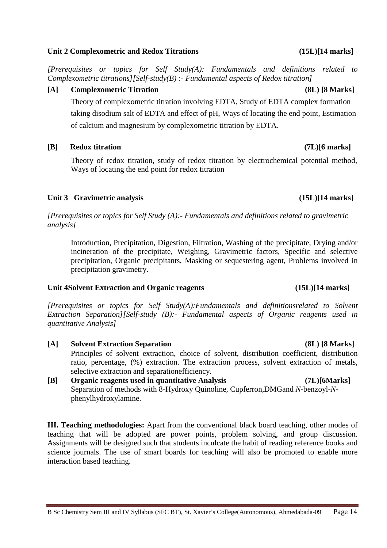### **Unit 2 Complexometric and Redox Titrations (15L)[14 marks]**

*[Prerequisites or topics for Self Study(A): Fundamentals and definitions related to Complexometric titrations][Self-study(B) :- Fundamental aspects of Redox titration]*

### **[A] Complexometric Titration (8L) [8 Marks]**

Theory of complexometric titration involving EDTA, Study of EDTA complex formation taking disodium salt of EDTA and effect of pH, Ways of locating the end point, Estimation of calcium and magnesium by complexometric titration by EDTA.

### **[B] Redox titration (7L)[6 marks]**

Theory of redox titration, study of redox titration by electrochemical potential method, Ways of locating the end point for redox titration

### **Unit 3 Gravimetric analysis (15L)[14 marks]**

*[Prerequisites or topics for Self Study (A):- Fundamentals and definitions related to gravimetric analysis]*

Introduction, Precipitation, Digestion, Filtration, Washing of the precipitate, Drying and/or incineration of the precipitate, Weighing, Gravimetric factors, Specific and selective precipitation, Organic precipitants, Masking or sequestering agent, Problems involved in precipitation gravimetry.

### **Unit 4Solvent Extraction and Organic reagents (15L)[14 marks]**

*[Prerequisites or topics for Self Study(A):Fundamentals and definitionsrelated to Solvent Extraction Separation][Self-study (B):- Fundamental aspects of Organic reagents used in quantitative Analysis]*

- **[A] Solvent Extraction Separation (8L) [8 Marks]** Principles of solvent extraction, choice of solvent, distribution coefficient, distribution ratio, percentage, (%) extraction. The extraction process, solvent extraction of metals, selective extraction and separationefficiency.
- **[B] Organic reagents used in quantitative Analysis (7L)[6Marks]** Separation of methods with 8-Hydroxy Quinoline, Cupferron,DMGand *N*-benzoyl-*N*phenylhydroxylamine.

**III. Teaching methodologies:** Apart from the conventional black board teaching, other modes of teaching that will be adopted are power points, problem solving, and group discussion. Assignments will be designed such that students inculcate the habit of reading reference books and science journals. The use of smart boards for teaching will also be promoted to enable more interaction based teaching.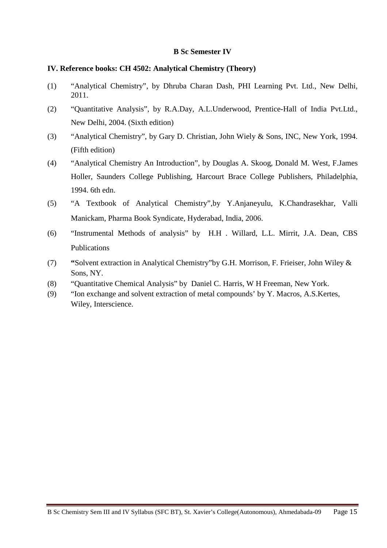### **IV. Reference books: CH 4502: Analytical Chemistry (Theory)**

- (1) "Analytical Chemistry", by Dhruba Charan Dash, PHI Learning Pvt. Ltd., New Delhi, 2011.
- (2) "Quantitative Analysis", by R.A.Day, A.L.Underwood, Prentice-Hall of India Pvt.Ltd., New Delhi, 2004. (Sixth edition)
- (3) "Analytical Chemistry", by Gary D. Christian, John Wiely & Sons, INC, New York, 1994. (Fifth edition)
- (4) "Analytical Chemistry An Introduction", by Douglas A. Skoog, Donald M. West, F.James Holler, Saunders College Publishing, Harcourt Brace College Publishers, Philadelphia, 1994. 6th edn.
- (5) "A Textbook of Analytical Chemistry",by Y.Anjaneyulu, K.Chandrasekhar, Valli Manickam, Pharma Book Syndicate, Hyderabad, India, 2006.
- (6) "Instrumental Methods of analysis" by H.H . Willard, L.L. Mirrit, J.A. Dean, CBS Publications
- (7) **"**Solvent extraction in Analytical Chemistry"by G.H. Morrison, F. Frieiser, John Wiley & Sons, NY.
- (8) "Quantitative Chemical Analysis" by Daniel C. Harris, W H Freeman, New York.
- (9) "Ion exchange and solvent extraction of metal compounds' by Y. Macros, A.S.Kertes, Wiley, Interscience.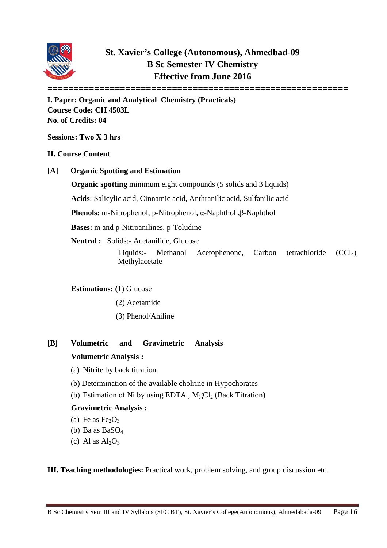

# **St. Xavier's College (Autonomous), Ahmedbad-09 B Sc Semester IV Chemistry Effective from June 2016**

**I. Paper: Organic and Analytical Chemistry (Practicals) Course Code: CH 4503L No. of Credits: 04**

**Sessions: Two X 3 hrs**

### **II. Course Content**

**[A] Organic Spotting and Estimation** 

**Organic spotting** minimum eight compounds (5 solids and 3 liquids)

**Acids**: Salicylic acid, Cinnamic acid, Anthranilic acid, Sulfanilic acid

**Phenols:** m-Nitrophenol, p-Nitrophenol, α-Naphthol ,β-Naphthol

**Bases:** m and p-Nitroanilines, p-Toludine

**Neutral :** Solids:- Acetanilide, Glucose

Liquids:- Methanol Acetophenone, Carbon tetrachloride (CCl4), Methylacetate

**==========================================================**

### **Estimations: (**1) Glucose

- (2) Acetamide
- (3) Phenol/Aniline
- **[B] Volumetric and Gravimetric Analysis**

### **Volumetric Analysis :**

- (a) Nitrite by back titration.
- (b) Determination of the available cholrine in Hypochorates
- (b) Estimation of Ni by using EDTA,  $MgCl<sub>2</sub>$  (Back Titration)

### **Gravimetric Analysis :**

- (a) Fe as  $Fe<sub>2</sub>O<sub>3</sub>$
- (b) Ba as BaSO4
- (c) Al as  $Al_2O_3$

**III. Teaching methodologies:** Practical work, problem solving, and group discussion etc.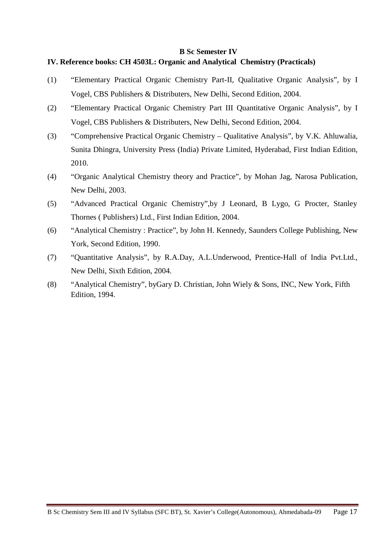### **IV. Reference books: CH 4503L: Organic and Analytical Chemistry (Practicals)**

- (1) "Elementary Practical Organic Chemistry Part-II, Qualitative Organic Analysis", by I Vogel, CBS Publishers & Distributers, New Delhi, Second Edition, 2004.
- (2) "Elementary Practical Organic Chemistry Part III Quantitative Organic Analysis", by I Vogel, CBS Publishers & Distributers, New Delhi, Second Edition, 2004.
- (3) "Comprehensive Practical Organic Chemistry Qualitative Analysis", by V.K. Ahluwalia, Sunita Dhingra, University Press (India) Private Limited, Hyderabad, First Indian Edition, 2010.
- (4) "Organic Analytical Chemistry theory and Practice", by Mohan Jag, Narosa Publication, New Delhi, 2003.
- (5) "Advanced Practical Organic Chemistry",by J Leonard, B Lygo, G Procter, Stanley Thornes ( Publishers) Ltd., First Indian Edition, 2004.
- (6) "Analytical Chemistry : Practice", by John H. Kennedy, Saunders College Publishing, New York, Second Edition, 1990.
- (7) "Quantitative Analysis", by R.A.Day, A.L.Underwood, Prentice-Hall of India Pvt.Ltd., New Delhi, Sixth Edition, 2004.
- (8) "Analytical Chemistry", byGary D. Christian, John Wiely & Sons, INC, New York, Fifth Edition, 1994.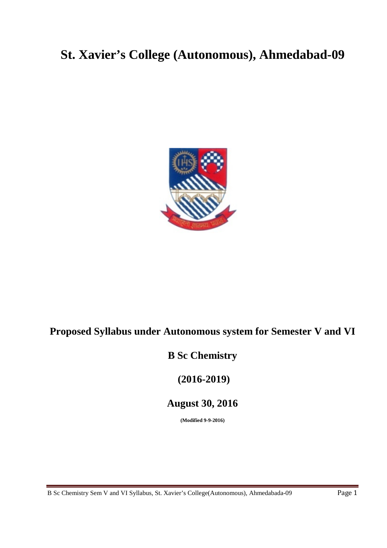# **St. Xavier's College (Autonomous), Ahmedabad-09**



# **Proposed Syllabus under Autonomous system for Semester V and VI**

# **B Sc Chemistry**

**(2016-2019)**

# **August 30, 2016**

**(Modified 9-9-2016)**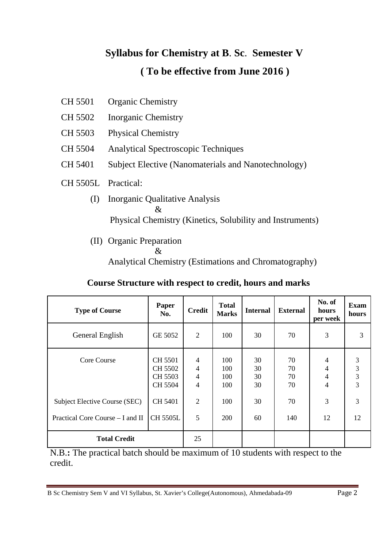# **Syllabus for Chemistry at B**. **Sc**. **Semester V ( To be effective from June 2016 )**

- CH 5501 Organic Chemistry
- CH 5502 Inorganic Chemistry
- CH 5503 Physical Chemistry
- CH 5504 Analytical Spectroscopic Techniques
- CH 5401 Subject Elective (Nanomaterials and Nanotechnology)
- CH 5505L Practical:
	- (I) Inorganic Qualitative Analysis & Physical Chemistry (Kinetics, Solubility and Instruments)
	- (II) Organic Preparation
		- &

Analytical Chemistry (Estimations and Chromatography)

### **Course Structure with respect to credit, hours and marks**

| <b>Type of Course</b>                                             | Paper<br>No.                             | <b>Credit</b>                                                        | <b>Total</b><br><b>Marks</b> | <b>Internal</b>      | <b>External</b>      | No. of<br>hours<br>per week | <b>Exam</b><br>hours |
|-------------------------------------------------------------------|------------------------------------------|----------------------------------------------------------------------|------------------------------|----------------------|----------------------|-----------------------------|----------------------|
| General English                                                   | GE 5052                                  | 2                                                                    | 100                          | 30                   | 70                   | 3                           | 3                    |
| Core Course                                                       | CH 5501<br>CH 5502<br>CH 5503<br>CH 5504 | $\overline{4}$<br>$\overline{4}$<br>$\overline{4}$<br>$\overline{4}$ | 100<br>100<br>100<br>100     | 30<br>30<br>30<br>30 | 70<br>70<br>70<br>70 | 4<br>4<br>4<br>4            | 3<br>3<br>3<br>3     |
| Subject Elective Course (SEC)<br>Practical Core Course – I and II | <b>CH 5401</b><br><b>CH 5505L</b>        | 2<br>5                                                               | 100<br>200                   | 30<br>60             | 70<br>140            | 3<br>12                     | 3<br>12              |
| <b>Total Credit</b>                                               |                                          | 25                                                                   |                              |                      |                      |                             |                      |

N.B.**:** The practical batch should be maximum of 10 students with respect to the credit.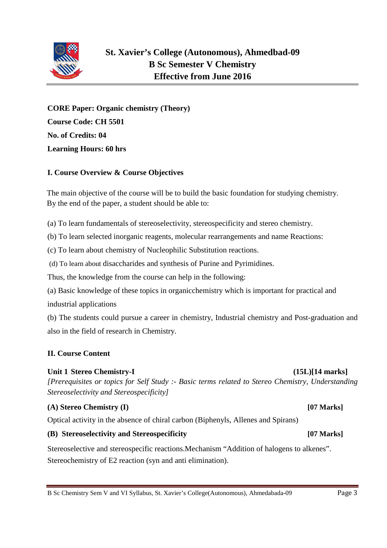

**CORE Paper: Organic chemistry (Theory) Course Code: CH 5501 No. of Credits: 04 Learning Hours: 60 hrs**

### **I. Course Overview & Course Objectives**

The main objective of the course will be to build the basic foundation for studying chemistry. By the end of the paper, a student should be able to:

(a) To learn fundamentals of stereoselectivity, stereospecificity and stereo chemistry.

(b) To learn selected inorganic reagents, molecular rearrangements and name Reactions:

(c) To learn about chemistry of Nucleophilic Substitution reactions.

(d) To learn about disaccharides and synthesis of Purine and Pyrimidines.

Thus, the knowledge from the course can help in the following:

(a) Basic knowledge of these topics in organicchemistry which is important for practical and industrial applications

(b) The students could pursue a career in chemistry, Industrial chemistry and Post-graduation and also in the field of research in Chemistry.

### **II. Course Content**

### Unit 1 Stereo Chemistry-I (15L)[14 marks]

*[Prerequisites or topics for Self Study :- Basic terms related to Stereo Chemistry, Understanding Stereoselectivity and Stereospecificity]*

### **(A) Stereo Chemistry (I) [07 Marks]**

Optical activity in the absence of chiral carbon (Biphenyls, Allenes and Spirans)

### **(B) Stereoselectivity and Stereospecificity [07 Marks]**

Stereoselective and stereospecific reactions.Mechanism "Addition of halogens to alkenes". Stereochemistry of E2 reaction (syn and anti elimination).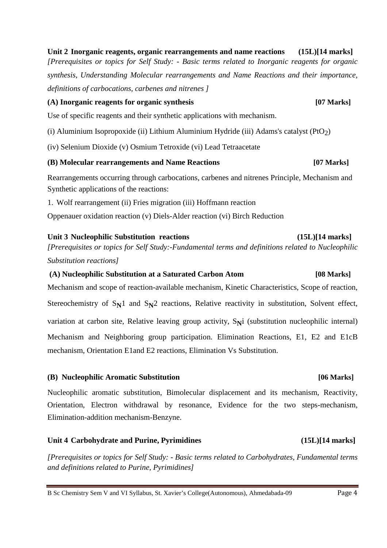**Unit 2 Inorganic reagents, organic rearrangements and name reactions (15L)[14 marks]** *[Prerequisites or topics for Self Study: - Basic terms related to Inorganic reagents for organic synthesis, Understanding Molecular rearrangements and Name Reactions and their importance, definitions of carbocations, carbenes and nitrenes ]*

### **(A) Inorganic reagents for organic synthesis [07 Marks]**

Use of specific reagents and their synthetic applications with mechanism.

(i) Aluminium Isopropoxide (ii) Lithium Aluminium Hydride (iii) Adams's catalyst  $(PtO<sub>2</sub>)$ 

(iv) Selenium Dioxide (v) Osmium Tetroxide (vi) Lead Tetraacetate

### **(B) Molecular rearrangements and Name Reactions [07 Marks]**

Rearrangements occurring through carbocations, carbenes and nitrenes Principle, Mechanism and Synthetic applications of the reactions:

1. Wolf rearrangement (ii) Fries migration (iii) Hoffmann reaction

Oppenauer oxidation reaction (v) Diels-Alder reaction (vi) Birch Reduction

### **Unit 3 Nucleophilic Substitution reactions (15L)[14 marks]**

*[Prerequisites or topics for Self Study:-Fundamental terms and definitions related to Nucleophilic Substitution reactions]*

### **(A) Nucleophilic Substitution at a Saturated Carbon Atom [08 Marks]**

Mechanism and scope of reaction-available mechanism, Kinetic Characteristics, Scope of reaction, Stereochemistry of  $S_N1$  and  $S_N2$  reactions, Relative reactivity in substitution, Solvent effect, variation at carbon site, Relative leaving group activity, S<sub>N</sub>i (substitution nucleophilic internal) Mechanism and Neighboring group participation. Elimination Reactions, E1, E2 and E1cB mechanism, Orientation E1and E2 reactions, Elimination Vs Substitution.

### **(B) Nucleophilic Aromatic Substitution [06 Marks]**

Nucleophilic aromatic substitution, Bimolecular displacement and its mechanism, Reactivity, Orientation, Electron withdrawal by resonance, Evidence for the two steps-mechanism, Elimination-addition mechanism-Benzyne.

### **Unit 4 Carbohydrate and Purine, Pyrimidines (15L)[14 marks]**

*[Prerequisites or topics for Self Study: - Basic terms related to Carbohydrates, Fundamental terms and definitions related to Purine, Pyrimidines]*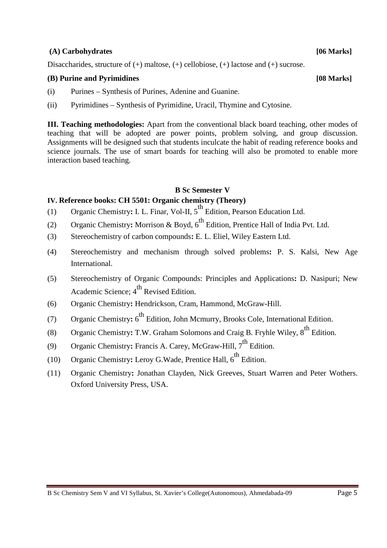### **(A) Carbohydrates [06 Marks]**

Disaccharides, structure of (+) maltose, (+) cellobiose, (+) lactose and (+) sucrose.

### **(B) Purine and Pyrimidines [08 Marks]**

- (i) Purines Synthesis of Purines, Adenine and Guanine.
- (ii) Pyrimidines Synthesis of Pyrimidine, Uracil, Thymine and Cytosine.

**III. Teaching methodologies:** Apart from the conventional black board teaching, other modes of teaching that will be adopted are power points, problem solving, and group discussion. Assignments will be designed such that students inculcate the habit of reading reference books and science journals. The use of smart boards for teaching will also be promoted to enable more interaction based teaching.

### **B Sc Semester V**

### **IV. Reference books: CH 5501: Organic chemistry (Theory)**

- (1) Organic Chemistry: I. L. Finar, Vol-II, 5<sup>th</sup> Edition, Pearson Education Ltd.
- (2) Organic Chemistry**:** Morrison & Boyd, 6th Edition, Prentice Hall of India Pvt. Ltd.
- (3) Stereochemistry of carbon compounds**:** E. L. Eliel, Wiley Eastern Ltd.
- (4) Stereochemistry and mechanism through solved problems**:** P. S. Kalsi, New Age International.
- (5) Stereochemistry of Organic Compounds: Principles and Applications**:** D. Nasipuri; New Academic Science; 4<sup>th</sup> Revised Edition.
- (6) Organic Chemistry**:** Hendrickson, Cram, Hammond, McGraw-Hill.
- (7) Organic Chemistry: 6<sup>th</sup> Edition, John Mcmurry, Brooks Cole, International Edition.
- (8) Organic Chemistry: T.W. Graham Solomons and Craig B. Fryhle Wiley, 8<sup>th</sup> Edition.
- (9) Organic Chemistry: Francis A. Carey, McGraw-Hill, 7<sup>th</sup> Edition.
- (10) Organic Chemistry: Leroy G. Wade, Prentice Hall,  $6<sup>th</sup>$  Edition.
- (11) Organic Chemistry**:** Jonathan Clayden, Nick Greeves, Stuart Warren and Peter Wothers. Oxford University Press, USA.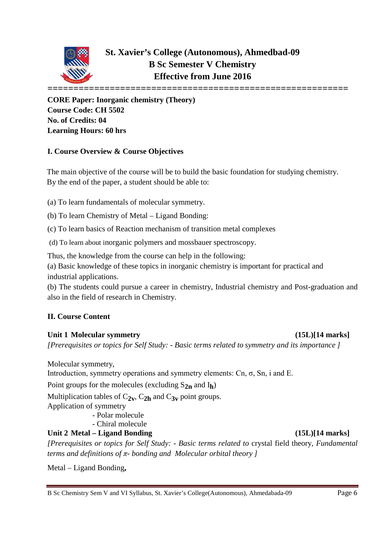

**CORE Paper: Inorganic chemistry (Theory) Course Code: CH 5502 No. of Credits: 04 Learning Hours: 60 hrs**

### **I. Course Overview & Course Objectives**

The main objective of the course will be to build the basic foundation for studying chemistry. By the end of the paper, a student should be able to:

(a) To learn fundamentals of molecular symmetry.

(b) To learn Chemistry of Metal – Ligand Bonding:

(c) To learn basics of Reaction mechanism of transition metal complexes

(d) To learn about inorganic polymers and mossbauer spectroscopy.

Thus, the knowledge from the course can help in the following:

(a) Basic knowledge of these topics in inorganic chemistry is important for practical and industrial applications.

(b) The students could pursue a career in chemistry, Industrial chemistry and Post-graduation and also in the field of research in Chemistry.

### **II. Course Content**

### Unit 1 Molecular symmetry (15L)[14 marks]

*[Prerequisites or topics for Self Study: - Basic terms related to symmetry and its importance ]*

Molecular symmetry,

Introduction, symmetry operations and symmetry elements: Cn, σ, Sn, i and E.

Point groups for the molecules (excluding S**2n** and I**h**)

Multiplication tables of  $C_{2v}$ ,  $C_{2h}$  and  $C_{3v}$  point groups.

Application of symmetry

- Polar molecule

- Chiral molecule

### **Unit 2 Metal – Ligand Bonding (15L)[14 marks]**

*[Prerequisites or topics for Self Study: - Basic terms related to* crystal field theory*, Fundamental terms and definitions of π- bonding and Molecular orbital theory ]*

Metal – Ligand Bonding**,**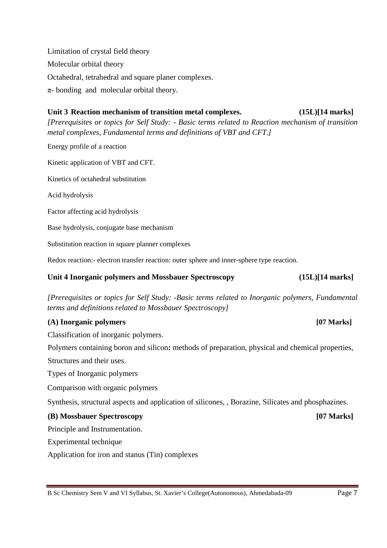Limitation of crystal field theory Molecular orbital theory Octahedral, tetrahedral and square planer complexes. π- bonding and molecular orbital theory.

### **Unit 3 Reaction mechanism of transition metal complexes. (15L)[14 marks]** *[Prerequisites or topics for Self Study: - Basic terms related to Reaction mechanism of transition metal complexes, Fundamental terms and definitions of VBT and CFT.]*

Energy profile of a reaction

Kinetic application of VBT and CFT.

Kinetics of octahedral substitution

Acid hydrolysis

Factor affecting acid hydrolysis

Base hydrolysis, conjugate base mechanism

Substitution reaction in square planner complexes

Redox reaction:- electron transfer reaction: outer sphere and inner-sphere type reaction.

### **Unit 4 Inorganic polymers and Mossbauer Spectroscopy (15L)[14 marks]**

*[Prerequisites or topics for Self Study: -Basic terms related to Inorganic polymers, Fundamental terms and definitions related to Mossbauer Spectroscopy]*

### **(A) Inorganic polymers [07 Marks]**

Classification of inorganic polymers.

Polymers containing boron and silicon**:** methods of preparation, physical and chemical properties, Structures and their uses.

Types of Inorganic polymers

Comparison with organic polymers

Synthesis, structural aspects and application of silicones, , Borazine, Silicates and phosphazines.

### **(B) Mossbauer Spectroscopy [07 Marks]**

Principle and Instrumentation.

Experimental technique

Application for iron and stanus (Tin) complexes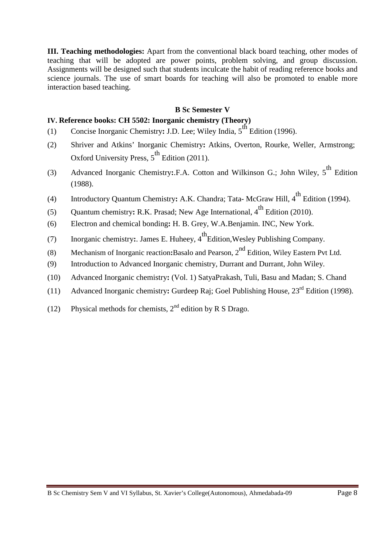**III. Teaching methodologies:** Apart from the conventional black board teaching, other modes of teaching that will be adopted are power points, problem solving, and group discussion. Assignments will be designed such that students inculcate the habit of reading reference books and science journals. The use of smart boards for teaching will also be promoted to enable more interaction based teaching.

### **B Sc Semester V**

### **IV. Reference books: CH 5502: Inorganic chemistry (Theory)**

- (1) Concise Inorganic Chemistry: J.D. Lee; Wiley India, 5<sup>th</sup> Edition (1996).
- (2) Shriver and Atkins' Inorganic Chemistry**:** Atkins, Overton, Rourke, Weller, Armstrong; Oxford University Press,  $5^{\text{th}}$  Edition (2011).
- (3) Advanced Inorganic Chemistry: F.A. Cotton and Wilkinson G.; John Wiley, 5<sup>th</sup> Edition (1988).
- (4) Introductory Quantum Chemistry: A.K. Chandra; Tata- McGraw Hill, 4<sup>th</sup> Edition (1994).
- (5) Quantum chemistry**:** R.K. Prasad; New Age International, 4<sup>th</sup> Edition (2010).
- (6) Electron and chemical bonding**:** H. B. Grey, W.A.Benjamin. INC, New York.
- (7) Inorganic chemistry: James E. Huheey,  $4^{th}$ Edition, Wesley Publishing Company.
- (8) Mechanism of Inorganic reaction**:**Basalo and Pearson, 2nd Edition, Wiley Eastern Pvt Ltd.
- (9) Introduction to Advanced Inorganic chemistry, Durrant and Durrant, John Wiley.
- (10) Advanced Inorganic chemistry**:** (Vol. 1) SatyaPrakash, Tuli, Basu and Madan; S. Chand
- (11) Advanced Inorganic chemistry**:** Gurdeep Raj; Goel Publishing House, 23rd Edition (1998).
- (12) Physical methods for chemists,  $2<sup>nd</sup>$  edition by R S Drago.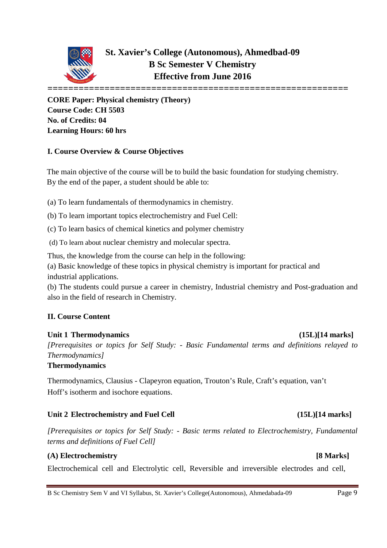

**CORE Paper: Physical chemistry (Theory) Course Code: CH 5503 No. of Credits: 04 Learning Hours: 60 hrs**

### **I. Course Overview & Course Objectives**

The main objective of the course will be to build the basic foundation for studying chemistry. By the end of the paper, a student should be able to:

(a) To learn fundamentals of thermodynamics in chemistry.

(b) To learn important topics electrochemistry and Fuel Cell:

(c) To learn basics of chemical kinetics and polymer chemistry

(d) To learn about nuclear chemistry and molecular spectra.

Thus, the knowledge from the course can help in the following:

(a) Basic knowledge of these topics in physical chemistry is important for practical and industrial applications.

(b) The students could pursue a career in chemistry, Industrial chemistry and Post-graduation and also in the field of research in Chemistry.

### **II. Course Content**

## **Unit 1 Thermodynamics (15L)[14 marks]**

*[Prerequisites or topics for Self Study: - Basic Fundamental terms and definitions relayed to Thermodynamics]*

### **Thermodynamics**

Thermodynamics, Clausius - Clapeyron equation, Trouton's Rule, Craft's equation, van't Hoff's isotherm and isochore equations.

### **Unit 2 Electrochemistry and Fuel Cell (15L)[14 marks]**

*[Prerequisites or topics for Self Study: - Basic terms related to Electrochemistry, Fundamental terms and definitions of Fuel Cell]*

### **(A) Electrochemistry [8 Marks]**

Electrochemical cell and Electrolytic cell, Reversible and irreversible electrodes and cell,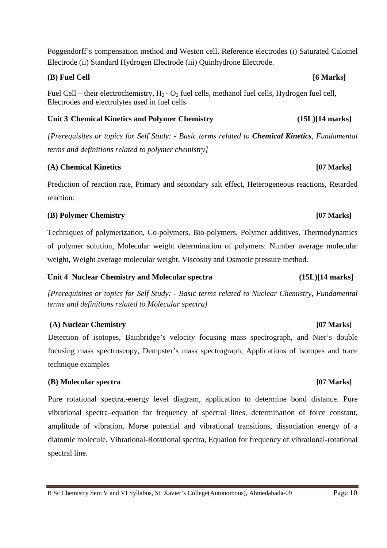B Sc Chemistry Sem V and VI Syllabus, St. Xavier's College(Autonomous), Ahmedabada-09 Page 10

**(B) Fuel Cell [6 Marks]**

Fuel Cell – their electrochemistry,  $H_2$  -  $O_2$  fuel cells, methanol fuel cells, Hydrogen fuel cell, Electrodes and electrolytes used in fuel cells

Electrode (ii) Standard Hydrogen Electrode (iii) Quinhydrone Electrode.

### **Unit 3 Chemical Kinetics and Polymer Chemistry (15L)[14 marks]**

*[Prerequisites or topics for Self Study: - Basic terms related to Chemical Kinetics, Fundamental terms and definitions related to polymer chemistry]*

Poggendorff's compensation method and Weston cell, Reference electrodes (i) Saturated Calomel

### **(A) Chemical Kinetics [07 Marks]**

Prediction of reaction rate, Primary and secondary salt effect, Heterogeneous reactions, Retarded reaction.

### **(B) Polymer Chemistry [07 Marks]**

Techniques of polymerization, Co-polymers, Bio-polymers, Polymer additives, Thermodynamics of polymer solution, Molecular weight determination of polymers: Number average molecular weight, Weight average molecular weight, Viscosity and Osmotic pressure method.

### **Unit 4 Nuclear Chemistry and Molecular spectra (15L)[14 marks]**

*[Prerequisites or topics for Self Study: - Basic terms related to Nuclear Chemistry, Fundamental terms and definitions related to Molecular spectra]*

### **(A) Nuclear Chemistry [07 Marks]**

Detection of isotopes, Bainbridge's velocity focusing mass spectrograph, and Nier's double focusing mass spectroscopy, Dempster's mass spectrograph, Applications of isotopes and trace technique examples

### **(B) Molecular spectra [07 Marks]**

Pure rotational spectra,-energy level diagram, application to determine bond distance. Pure vibrational spectra–equation for frequency of spectral lines, determination of force constant, amplitude of vibration, Morse potential and vibrational transitions, dissociation energy of a diatomic molecule. Vibrational-Rotational spectra, Equation for frequency of vibrational-rotational spectral line.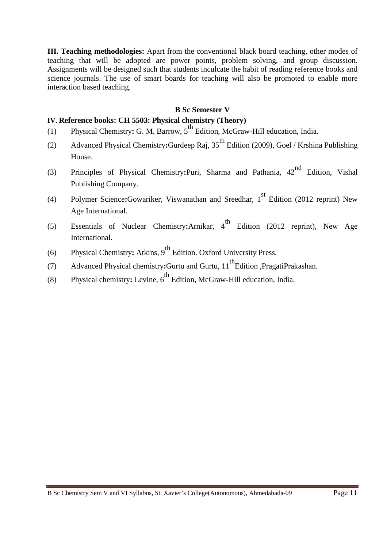**III. Teaching methodologies:** Apart from the conventional black board teaching, other modes of teaching that will be adopted are power points, problem solving, and group discussion. Assignments will be designed such that students inculcate the habit of reading reference books and science journals. The use of smart boards for teaching will also be promoted to enable more interaction based teaching.

### **B Sc Semester V**

### **IV. Reference books: CH 5503: Physical chemistry (Theory)**

- (1) Physical Chemistry: G. M. Barrow, 5<sup>th</sup> Edition, McGraw-Hill education, India.
- (2) Advanced Physical Chemistry**:**Gurdeep Raj, 35th Edition (2009), Goel / Krshina Publishing House.
- (3) Principles of Physical Chemistry**:**Puri, Sharma and Pathania, 42nd Edition, Vishal Publishing Company.
- (4) Polymer Science:Gowariker, Viswanathan and Sreedhar, 1<sup>st</sup> Edition (2012 reprint) New Age International.
- (5) Essentials of Nuclear Chemistry:Arnikar, 4<sup>th</sup> Edition (2012 reprint), New Age International.
- (6) Physical Chemistry: Atkins, 9<sup>th</sup> Edition. Oxford University Press.
- (7) Advanced Physical chemistry:Gurtu and Gurtu, 11<sup>th</sup>Edition ,PragatiPrakashan.
- (8) Physical chemistry: Levine, 6<sup>th</sup> Edition, McGraw-Hill education, India.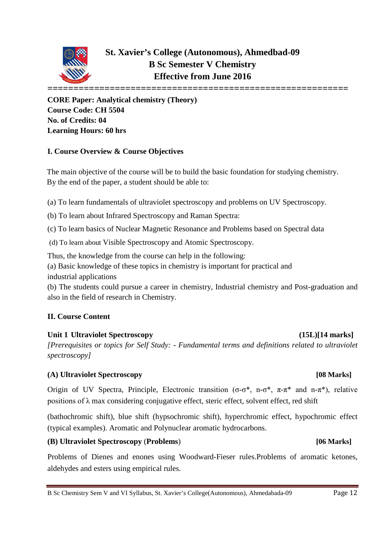

**CORE Paper: Analytical chemistry (Theory) Course Code: CH 5504 No. of Credits: 04 Learning Hours: 60 hrs**

### **I. Course Overview & Course Objectives**

The main objective of the course will be to build the basic foundation for studying chemistry. By the end of the paper, a student should be able to:

(a) To learn fundamentals of ultraviolet spectroscopy and problems on UV Spectroscopy.

(b) To learn about Infrared Spectroscopy and Raman Spectra:

(c) To learn basics of Nuclear Magnetic Resonance and Problems based on Spectral data

(d) To learn about Visible Spectroscopy and Atomic Spectroscopy.

Thus, the knowledge from the course can help in the following:

(a) Basic knowledge of these topics in chemistry is important for practical and industrial applications

(b) The students could pursue a career in chemistry, Industrial chemistry and Post-graduation and also in the field of research in Chemistry.

### **II. Course Content**

### **Unit 1 Ultraviolet Spectroscopy (15L)[14 marks]**

*[Prerequisites or topics for Self Study: - Fundamental terms and definitions related to ultraviolet spectroscopy]*

### **(A) Ultraviolet Spectroscopy [08 Marks]**

Origin of UV Spectra, Principle, Electronic transition (σ-σ\*, n-σ\*, π-π\* and n-π\*), relative positions of  $\lambda$  max considering conjugative effect, steric effect, solvent effect, red shift

(bathochromic shift), blue shift (hypsochromic shift), hyperchromic effect, hypochromic effect (typical examples). Aromatic and Polynuclear aromatic hydrocarbons.

### **(B) Ultraviolet Spectroscopy** (**Problems**) **[06 Marks]**

Problems of Dienes and enones using Woodward-Fieser rules.Problems of aromatic ketones, aldehydes and esters using empirical rules.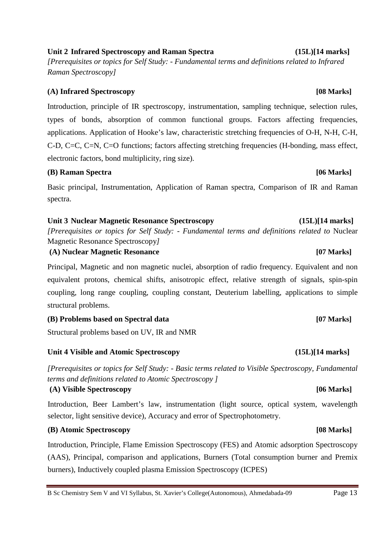### **Unit 2 Infrared Spectroscopy and Raman Spectra (15L)[14 marks]**

*[Prerequisites or topics for Self Study: - Fundamental terms and definitions related to Infrared Raman Spectroscopy]*

### **(A) Infrared Spectroscopy [08 Marks]**

Introduction, principle of IR spectroscopy, instrumentation, sampling technique, selection rules, types of bonds, absorption of common functional groups. Factors affecting frequencies, applications. Application of Hooke's law, characteristic stretching frequencies of O-H, N-H, C-H, C-D, C=C, C=N, C=O functions; factors affecting stretching frequencies (H-bonding, mass effect, electronic factors, bond multiplicity, ring size).

### **(B) Raman Spectra [06 Marks]**

Basic principal, Instrumentation, Application of Raman spectra, Comparison of IR and Raman spectra.

### **Unit 3 Nuclear Magnetic Resonance Spectroscopy (15L)[14 marks]**

*[Prerequisites or topics for Self Study: - Fundamental terms and definitions related to* Nuclear Magnetic Resonance Spectroscopy*]*

**(A) Nuclear Magnetic Resonance [07 Marks]**

Principal, Magnetic and non magnetic nuclei, absorption of radio frequency. Equivalent and non equivalent protons, chemical shifts, anisotropic effect, relative strength of signals, spin-spin coupling, long range coupling, coupling constant, Deuterium labelling, applications to simple structural problems.

### **(B) Problems based on Spectral data [07 Marks]**

Structural problems based on UV, IR and NMR

### **Unit 4 Visible and Atomic Spectroscopy (15L)[14 marks]**

*[Prerequisites or topics for Self Study: - Basic terms related to Visible Spectroscopy, Fundamental terms and definitions related to Atomic Spectroscopy ]*

### **(A) Visible Spectroscopy [06 Marks]**

Introduction, Beer Lambert's law, instrumentation (light source, optical system, wavelength selector, light sensitive device), Accuracy and error of Spectrophotometry.

### **(B) Atomic Spectroscopy [08 Marks]**

Introduction, Principle, Flame Emission Spectroscopy (FES) and Atomic adsorption Spectroscopy (AAS), Principal, comparison and applications, Burners (Total consumption burner and Premix burners), Inductively coupled plasma Emission Spectroscopy (ICPES)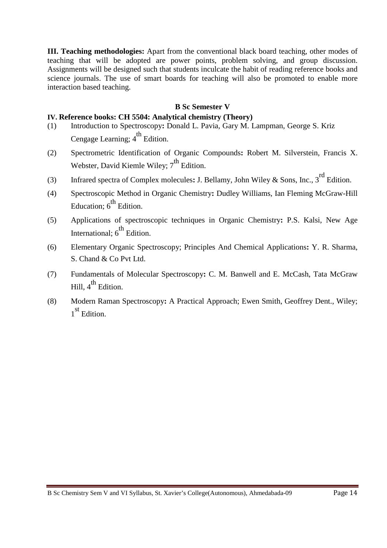**III. Teaching methodologies:** Apart from the conventional black board teaching, other modes of teaching that will be adopted are power points, problem solving, and group discussion. Assignments will be designed such that students inculcate the habit of reading reference books and science journals. The use of smart boards for teaching will also be promoted to enable more interaction based teaching.

### **B Sc Semester V**

### **IV. Reference books: CH 5504: Analytical chemistry (Theory)**

- (1) Introduction to Spectroscopy**:** Donald L. Pavia, Gary M. Lampman, George S. Kriz Cengage Learning;  $4^{\text{th}}$  Edition.
- (2) Spectrometric Identification of Organic Compounds**:** Robert M. Silverstein, Francis X. Webster, David Kiemle Wiley;  $7<sup>th</sup>$  Edition.
- (3) Infrared spectra of Complex molecules**:** J. Bellamy, John Wiley & Sons, Inc., 3rd Edition.
- (4) Spectroscopic Method in Organic Chemistry**:** Dudley Williams, Ian Fleming McGraw-Hill Education:  $6<sup>th</sup>$  Edition.
- (5) Applications of spectroscopic techniques in Organic Chemistry**:** P.S. Kalsi, New Age International:  $6<sup>th</sup>$  Edition.
- (6) Elementary Organic Spectroscopy; Principles And Chemical Applications**:** Y. R. Sharma, S. Chand & Co Pvt Ltd.
- (7) Fundamentals of Molecular Spectroscopy**:** C. M. Banwell and E. McCash, Tata McGraw Hill,  $4^{th}$  Edition.
- (8) Modern Raman Spectroscopy**:** A Practical Approach; Ewen Smith, Geoffrey Dent., Wiley; 1 st Edition.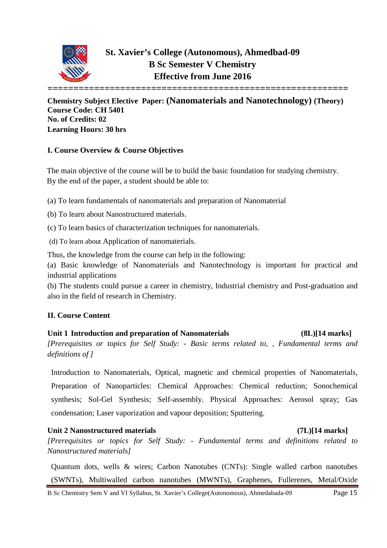

**Chemistry Subject Elective Paper: (Nanomaterials and Nanotechnology) (Theory) Course Code: CH 5401 No. of Credits: 02 Learning Hours: 30 hrs**

### **I. Course Overview & Course Objectives**

The main objective of the course will be to build the basic foundation for studying chemistry. By the end of the paper, a student should be able to:

(a) To learn fundamentals of nanomaterials and preparation of Nanomaterial

(b) To learn about Nanostructured materials.

(c) To learn basics of characterization techniques for nanomaterials.

(d) To learn about Application of nanomaterials.

Thus, the knowledge from the course can help in the following:

(a) Basic knowledge of Nanomaterials and Nanotechnology is important for practical and industrial applications

(b) The students could pursue a career in chemistry, Industrial chemistry and Post-graduation and also in the field of research in Chemistry.

### **II. Course Content**

**Unit 1 Introduction and preparation of Nanomaterials (8L)[14 marks]** *[Prerequisites or topics for Self Study: - Basic terms related to, , Fundamental terms and definitions of ]*

Introduction to Nanomaterials, Optical, magnetic and chemical properties of Nanomaterials, Preparation of Nanoparticles: Chemical Approaches: Chemical reduction; Sonochemical synthesis; Sol-Gel Synthesis; Self-assembly. Physical Approaches: Aerosol spray; Gas condensation; Laser vaporization and vapour deposition; Sputtering.

### **Unit 2 Nanostructured materials (7L)[14 marks]**

*[Prerequisites or topics for Self Study: - Fundamental terms and definitions related to Nanostructured materials]*

Quantum dots, wells & wires; Carbon Nanotubes (CNTs): Single walled carbon nanotubes (SWNTs), Multiwalled carbon nanotubes (MWNTs), Graphenes, Fullerenes, Metal/Oxide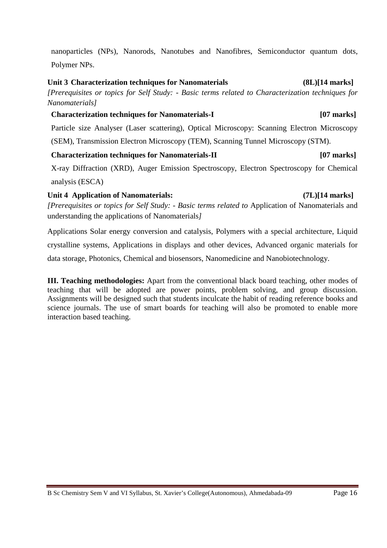nanoparticles (NPs), Nanorods, Nanotubes and Nanofibres, Semiconductor quantum dots, Polymer NPs.

### **Unit 3 Characterization techniques for Nanomaterials (8L)[14 marks]**

*[Prerequisites or topics for Self Study: - Basic terms related to Characterization techniques for Nanomaterials]*

### **Characterization techniques for Nanomaterials-I [07 marks]**

Particle size Analyser (Laser scattering), Optical Microscopy: Scanning Electron Microscopy

(SEM), Transmission Electron Microscopy (TEM), Scanning Tunnel Microscopy (STM).

### **Characterization techniques for Nanomaterials-II [07 marks]**

X-ray Diffraction (XRD), Auger Emission Spectroscopy, Electron Spectroscopy for Chemical analysis (ESCA)

### **Unit 4 Application of Nanomaterials: (7L)[14 marks]**

*[Prerequisites or topics for Self Study: - Basic terms related to* Application of Nanomaterials and understanding the applications of Nanomaterials*]*

Applications Solar energy conversion and catalysis, Polymers with a special architecture, Liquid crystalline systems, Applications in displays and other devices, Advanced organic materials for data storage, Photonics, Chemical and biosensors, Nanomedicine and Nanobiotechnology.

**III. Teaching methodologies:** Apart from the conventional black board teaching, other modes of teaching that will be adopted are power points, problem solving, and group discussion. Assignments will be designed such that students inculcate the habit of reading reference books and science journals. The use of smart boards for teaching will also be promoted to enable more interaction based teaching.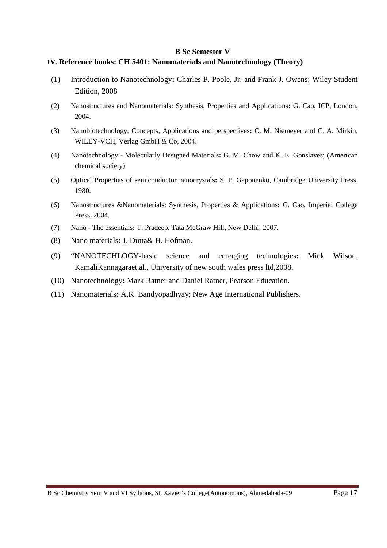### **IV. Reference books: CH 5401: Nanomaterials and Nanotechnology (Theory)**

- (1) Introduction to Nanotechnology**:** Charles P. Poole, Jr. and Frank J. Owens; Wiley Student Edition, 2008
- (2) Nanostructures and Nanomaterials: Synthesis, Properties and Applications**:** G. Cao, ICP, London, 2004.
- (3) Nanobiotechnology, Concepts, Applications and perspectives**:** C. M. Niemeyer and C. A. Mirkin, WILEY-VCH, Verlag GmbH & Co, 2004.
- (4) Nanotechnology Molecularly Designed Materials**:** G. M. Chow and K. E. Gonslaves; (American chemical society)
- (5) Optical Properties of semiconductor nanocrystals**:** S. P. Gaponenko, Cambridge University Press, 1980.
- (6) Nanostructures &Nanomaterials: Synthesis, Properties & Applications**:** G. Cao, Imperial College Press, 2004.
- (7) Nano **-** The essentials**:** T. Pradeep, Tata McGraw Hill, New Delhi, 2007.
- (8) Nano materials**:** J. Dutta& H. Hofman.
- (9) "NANOTECHLOGY-basic science and emerging technologies**:** Mick Wilson, KamaliKannagaraet.al., University of new south wales press ltd,2008.
- (10) Nanotechnology**:** Mark Ratner and Daniel Ratner, Pearson Education.
- (11) Nanomaterials**:** A.K. Bandyopadhyay; New Age International Publishers.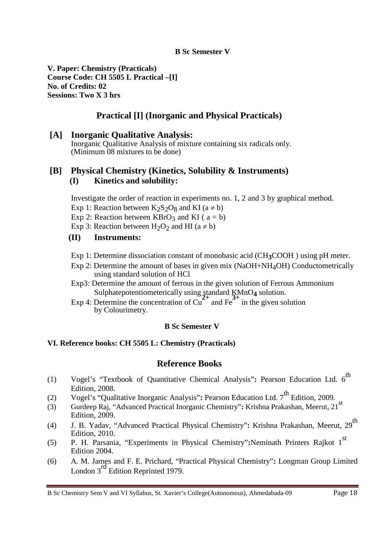**V. Paper: Chemistry (Practicals) Course Code: CH 5505 L Practical –[I] No. of Credits: 02 Sessions: Two X 3 hrs**

### **Practical [I] (Inorganic and Physical Practicals)**

### **[A] Inorganic Qualitative Analysis:**  Inorganic Qualitative Analysis of mixture containing six radicals only. (Minimum 08 mixtures to be done)

### **[B] Physical Chemistry (Kinetics, Solubility & Instruments) (I) Kinetics and solubility:**

Investigate the order of reaction in experiments no. 1, 2 and 3 by graphical method.

- Exp 1: Reaction between  $K_2S_2O_8$  and KI (a  $\neq$  b)
- Exp 2: Reaction between  $KBrO<sub>3</sub>$  and KI ( $a = b$ )
- Exp 3: Reaction between  $H_2O_2$  and HI (a  $\neq$  b)
- **(II) Instruments:**
- Exp 1: Determine dissociation constant of monobasic acid (CH**3**COOH ) using pH meter.
- Exp 2: Determine the amount of bases in given mix (NaOH+NH<sub>4</sub>OH) Conductometrically using standard solution of HCl
- Exp3: Determine the amount of ferrous in the given solution of Ferrous Ammonium Sulphatepotentiometerically using standard KMnO**4** solution.
- Exp 4: Determine the concentration of  $Cu$ <sup> $2+$ </sup> and  $Fe$ <sup>3+</sup> in the given solution by Colourimetry.

### **B Sc Semester V**

### **VI. Reference books: CH 5505 L: Chemistry (Practicals)**

### **Reference Books**

- (1) Vogel's "Textbook of Quantitative Chemical Analysis": Pearson Education Ltd. 6<sup>th</sup> Edition, 2008.
- (2) Vogel's "Qualitative Inorganic Analysis"**:** Pearson Education Ltd. 7th Edition, 2009.
- (3) Gurdeep Raj, "Advanced Practical Inorganic Chemistry"**:** Krishna Prakashan, Meerut, 21st Edition, 2009.
- (4) J. B. Yadav, "Advanced Practical Physical Chemistry"**:** Krishna Prakashan, Meerut, 29th Edition, 2010.
- (5) P. H. Parsania, "Experiments in Physical Chemistry"**:**Neminath Printers Rajkot 1st Edition 2004.
- (6) A. M. James and F. E. Prichard, "Practical Physical Chemistry"**:** Longman Group Limited London 3<sup>rd</sup> Edition Reprinted 1979.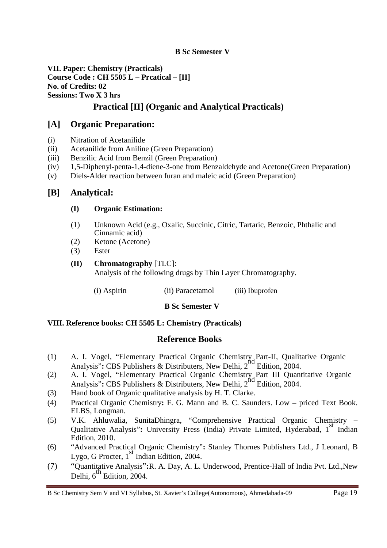**VII. Paper: Chemistry (Practicals) Course Code : CH 5505 L – Prcatical – [II] No. of Credits: 02 Sessions: Two X 3 hrs**

### **Practical [II] (Organic and Analytical Practicals)**

### **[A] Organic Preparation:**

- (i) Nitration of Acetanilide
- (ii) Acetanilide from Aniline (Green Preparation)
- (iii) Benzilic Acid from Benzil (Green Preparation)
- (iv) 1,5-Diphenyl-penta-1,4-diene-3-one from Benzaldehyde and Acetone(Green Preparation)
- (v) Diels-Alder reaction between furan and maleic acid (Green Preparation)

### **[B] Analytical:**

### **(I) Organic Estimation:**

- (1) Unknown Acid (e.g., Oxalic, Succinic, Citric, Tartaric, Benzoic, Phthalic and Cinnamic acid)
- (2) Ketone (Acetone)
- (3) Ester
- **(II) Chromatography** [TLC]: Analysis of the following drugs by Thin Layer Chromatography.
	- (i) Aspirin (ii) Paracetamol (iii) Ibuprofen

### **B Sc Semester V**

### **VIII. Reference books: CH 5505 L: Chemistry (Practicals)**

### **Reference Books**

- (1) A. I. Vogel, "Elementary Practical Organic Chemistry Part-II, Qualitative Organic Analysis"**:** CBS Publishers & Distributers, New Delhi, 2<sup>nd</sup> Edition, 2004.
- (2) A. I. Vogel, "Elementary Practical Organic Chemistry Part III Quantitative Organic A. 1. Voget, Elementary Fractical Organic Chemistry Part III Quand<br>Analysis": CBS Publishers & Distributers, New Delhi, 2<sup>nd</sup> Edition, 2004.
- (3) Hand book of Organic qualitative analysis by H. T. Clarke.
- (4) Practical Organic Chemistry**:** F. G. Mann and B. C. Saunders. Low priced Text Book. ELBS, Longman.
- (5) V.K. Ahluwalia, SunitaDhingra, "Comprehensive Practical Organic Chemistry Qualitative Analysis": University Press (India) Private Limited, Hyderabad, 1<sup>st</sup> Indian Edition, 2010.
- (6) "Advanced Practical Organic Chemistry"**:** Stanley Thornes Publishers Ltd., J Leonard, B Lygo, G Procter,  $1<sup>st</sup>$  Indian Edition, 2004.
- (7) "Quantitative Analysis"**:**R. A. Day, A. L. Underwood, Prentice-Hall of India Pvt. Ltd.,New Delhi,  $6<sup>th</sup>$  Edition, 2004.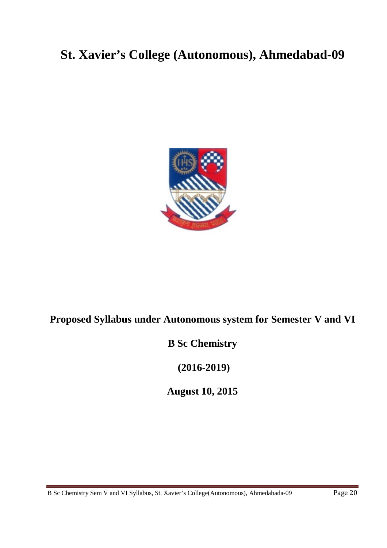# **St. Xavier's College (Autonomous), Ahmedabad-09**



# **Proposed Syllabus under Autonomous system for Semester V and VI**

# **B Sc Chemistry**

**(2016-2019)**

**August 10, 2015**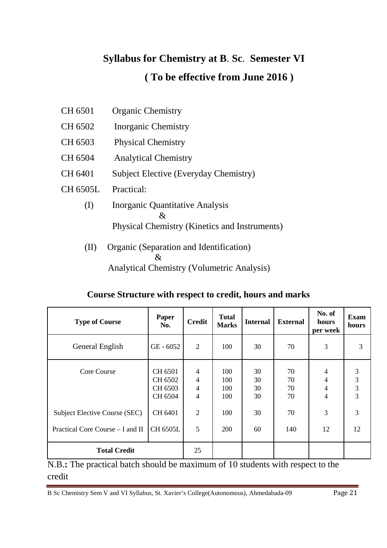# **Syllabus for Chemistry at B**. **Sc**. **Semester VI ( To be effective from June 2016 )**

- CH 6501 Organic Chemistry
- CH 6502 Inorganic Chemistry
- CH 6503 Physical Chemistry
- CH 6504 Analytical Chemistry
- CH 6401 Subject Elective (Everyday Chemistry)
- CH 6505L Practical:
	- (I) Inorganic Quantitative Analysis  $\mathcal{X}_{\cdot}$ Physical Chemistry (Kinetics and Instruments)
	- (II) Organic (Separation and Identification) & Analytical Chemistry (Volumetric Analysis)

| <b>Type of Course</b>            | Paper<br>No.                             | <b>Credit</b>                                                        | <b>Total</b><br><b>Marks</b> | <b>Internal</b>      | <b>External</b>      | No. of<br>hours<br>per week | <b>Exam</b><br>hours |
|----------------------------------|------------------------------------------|----------------------------------------------------------------------|------------------------------|----------------------|----------------------|-----------------------------|----------------------|
| General English                  | $GE - 6052$                              | 2                                                                    | 100                          | 30                   | 70                   | 3                           | 3                    |
| Core Course                      | CH 6501<br>CH 6502<br>CH 6503<br>CH 6504 | $\overline{4}$<br>$\overline{4}$<br>$\overline{4}$<br>$\overline{4}$ | 100<br>100<br>100<br>100     | 30<br>30<br>30<br>30 | 70<br>70<br>70<br>70 | 4<br>4<br>4<br>4            | 3<br>3<br>3<br>3     |
| Subject Elective Course (SEC)    | CH 6401                                  | $\overline{2}$                                                       | 100                          | 30                   | 70                   | 3                           | 3                    |
| Practical Core Course – I and II | <b>CH 6505L</b>                          | 5                                                                    | 200                          | 60                   | 140                  | 12                          | 12                   |
| <b>Total Credit</b>              |                                          | 25                                                                   |                              |                      |                      |                             |                      |

N.B.: The practical batch should be maximum of 10 students with respect to the credit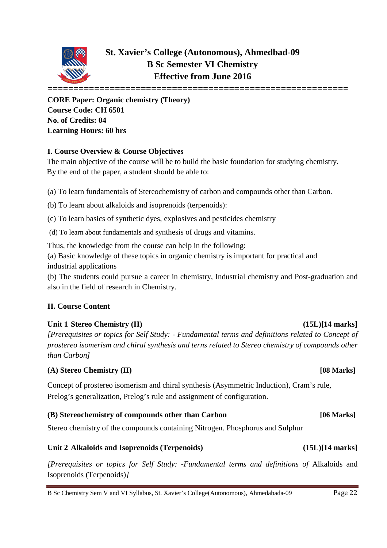

# **St. Xavier's College (Autonomous), Ahmedbad-09 B Sc Semester VI Chemistry Effective from June 2016**

**CORE Paper: Organic chemistry (Theory) Course Code: CH 6501 No. of Credits: 04 Learning Hours: 60 hrs**

### **I. Course Overview & Course Objectives**

The main objective of the course will be to build the basic foundation for studying chemistry. By the end of the paper, a student should be able to:

(a) To learn fundamentals of Stereochemistry of carbon and compounds other than Carbon.

(b) To learn about alkaloids and isoprenoids (terpenoids):

(c) To learn basics of synthetic dyes, explosives and pesticides chemistry

(d) To learn about fundamentals and synthesis of drugs and vitamins.

Thus, the knowledge from the course can help in the following:

(a) Basic knowledge of these topics in organic chemistry is important for practical and industrial applications

(b) The students could pursue a career in chemistry, Industrial chemistry and Post-graduation and also in the field of research in Chemistry.

### **II. Course Content**

### Unit 1 Stereo Chemistry (II) (15L)[14 marks]

*[Prerequisites or topics for Self Study: - Fundamental terms and definitions related to Concept of prostereo isomerism and chiral synthesis and terns related to Stereo chemistry of compounds other than Carbon]*

### **(A) Stereo Chemistry (II) [08 Marks]**

Concept of prostereo isomerism and chiral synthesis (Asymmetric Induction), Cram's rule, Prelog's generalization, Prelog's rule and assignment of configuration.

### **(B) Stereochemistry of compounds other than Carbon [06 Marks]**

Stereo chemistry of the compounds containing Nitrogen. Phosphorus and Sulphur

### **Unit 2 Alkaloids and Isoprenoids (Terpenoids) (15L)[14 marks]**

*[Prerequisites or topics for Self Study: -Fundamental terms and definitions of* Alkaloids and Isoprenoids (Terpenoids)*]*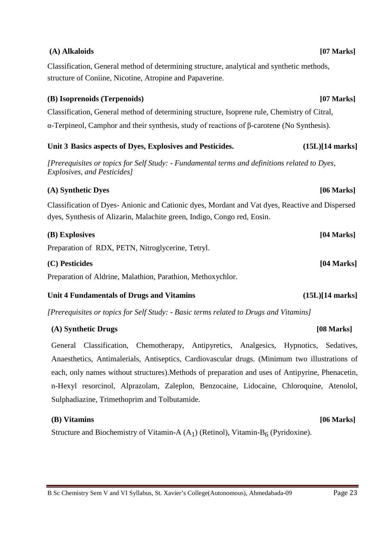### B Sc Chemistry Sem V and VI Syllabus, St. Xavier's College(Autonomous), Ahmedabada-09 Page 23

### **(A) Alkaloids [07 Marks]**

Classification, General method of determining structure, analytical and synthetic methods, structure of Coniine, Nicotine, Atropine and Papaverine.

### **(B) Isoprenoids (Terpenoids) [07 Marks]**

Classification, General method of determining structure, Isoprene rule, Chemistry of Citral, α-Terpineol, Camphor and their synthesis, study of reactions of β-carotene (No Synthesis).

### **Unit 3 Basics aspects of Dyes, Explosives and Pesticides. (15L)[14 marks]**

*[Prerequisites or topics for Self Study: - Fundamental terms and definitions related to Dyes, Explosives, and Pesticides]*

### **(A) Synthetic Dyes [06 Marks]**

Classification of Dyes- Anionic and Cationic dyes, Mordant and Vat dyes, Reactive and Dispersed dyes, Synthesis of Alizarin, Malachite green, Indigo, Congo red, Eosin.

| (B) Explosives                                    | $[04$ Marks] |  |  |
|---------------------------------------------------|--------------|--|--|
| Preparation of RDX, PETN, Nitroglycerine, Tetryl. |              |  |  |
| (C) Pesticides                                    | $[04$ Marks] |  |  |
|                                                   |              |  |  |

Preparation of Aldrine, Malathion, Parathion, Methoxychlor.

### **Unit 4 Fundamentals of Drugs and Vitamins (15L)[14 marks]**

*[Prerequisites or topics for Self Study: - Basic terms related to Drugs and Vitamins]*

### **(A) Synthetic Drugs [08 Marks]**

General Classification, Chemotherapy, Antipyretics, Analgesics, Hypnotics, Sedatives, Anaesthetics, Antimalerials, Antiseptics, Cardiovascular drugs. (Minimum two illustrations of each, only names without structures).Methods of preparation and uses of Antipyrine, Phenacetin, n-Hexyl resorcinol, Alprazolam, Zaleplon, Benzocaine, Lidocaine, Chloroquine, Atenolol, Sulphadiazine, Trimethoprim and Tolbutamide.

### **(B) Vitamins [06 Marks]**

Structure and Biochemistry of Vitamin-A  $(A_1)$  (Retinol), Vitamin-B<sub>6</sub> (Pyridoxine).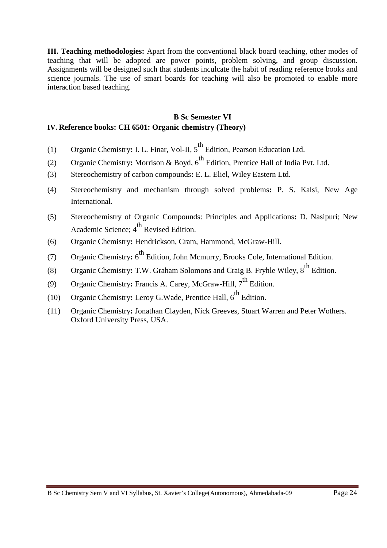**III. Teaching methodologies:** Apart from the conventional black board teaching, other modes of teaching that will be adopted are power points, problem solving, and group discussion. Assignments will be designed such that students inculcate the habit of reading reference books and science journals. The use of smart boards for teaching will also be promoted to enable more interaction based teaching.

### **B Sc Semester VI IV. Reference books: CH 6501: Organic chemistry (Theory)**

- (1) Organic Chemistry: I. L. Finar, Vol-II, 5<sup>th</sup> Edition, Pearson Education Ltd.
- (2) Organic Chemistry: Morrison & Boyd, 6<sup>th</sup> Edition, Prentice Hall of India Pvt. Ltd.
- (3) Stereochemistry of carbon compounds**:** E. L. Eliel, Wiley Eastern Ltd.
- (4) Stereochemistry and mechanism through solved problems**:** P. S. Kalsi, New Age International.
- (5) Stereochemistry of Organic Compounds: Principles and Applications**:** D. Nasipuri; New Academic Science;  $4^{th}$  Revised Edition.
- (6) Organic Chemistry**:** Hendrickson, Cram, Hammond, McGraw-Hill.
- (7) Organic Chemistry: 6<sup>th</sup> Edition, John Mcmurry, Brooks Cole, International Edition.
- (8) Organic Chemistry: T.W. Graham Solomons and Craig B. Fryhle Wiley, 8<sup>th</sup> Edition.
- (9) Organic Chemistry: Francis A. Carey, McGraw-Hill, 7<sup>th</sup> Edition.
- (10) Organic Chemistry: Leroy G. Wade, Prentice Hall,  $6^{\text{th}}$  Edition.
- (11) Organic Chemistry**:** Jonathan Clayden, Nick Greeves, Stuart Warren and Peter Wothers. Oxford University Press, USA.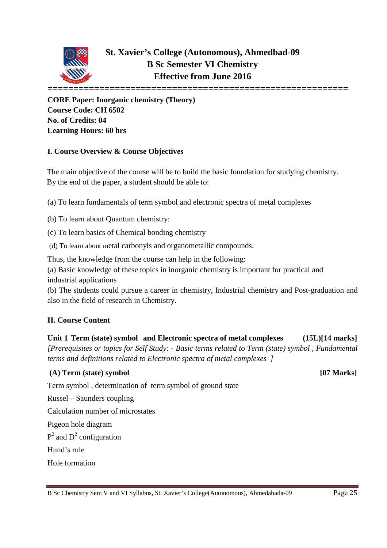

**CORE Paper: Inorganic chemistry (Theory) Course Code: CH 6502 No. of Credits: 04 Learning Hours: 60 hrs**

### **I. Course Overview & Course Objectives**

The main objective of the course will be to build the basic foundation for studying chemistry. By the end of the paper, a student should be able to:

(a) To learn fundamentals of term symbol and electronic spectra of metal complexes

(b) To learn about Quantum chemistry:

(c) To learn basics of Chemical bonding chemistry

(d) To learn about metal carbonyls and organometallic compounds.

Thus, the knowledge from the course can help in the following:

(a) Basic knowledge of these topics in inorganic chemistry is important for practical and industrial applications

(b) The students could pursue a career in chemistry, Industrial chemistry and Post-graduation and also in the field of research in Chemistry.

### **II. Course Content**

**Unit 1 Term (state) symbol and Electronic spectra of metal complexes (15L)[14 marks]** *[Prerequisites or topics for Self Study: - Basic terms related to Term (state) symbol , Fundamental terms and definitions related to Electronic spectra of metal complexes ]*

### **(A) Term (state) symbol [07 Marks]**

Term symbol , determination of term symbol of ground state

Russel – Saunders coupling

Calculation number of microstates

Pigeon hole diagram

 $P^2$  and  $D^2$  configuration

Hund's rule

Hole formation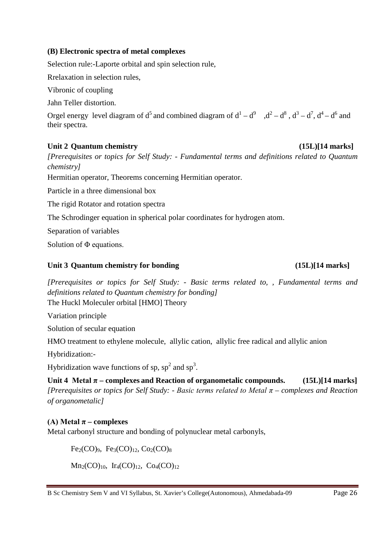### **(B) Electronic spectra of metal complexes**

Selection rule:-Laporte orbital and spin selection rule,

Rrelaxation in selection rules,

Vibronic of coupling

Jahn Teller distortion.

Orgel energy level diagram of  $d^5$  and combined diagram of  $d^1 - d^9$ ,  $d^2 - d^8$ ,  $d^3 - d^7$ ,  $d^4 - d^6$  and their spectra.

### **Unit 2 Quantum chemistry (15L)[14 marks]**

*[Prerequisites or topics for Self Study: - Fundamental terms and definitions related to Quantum chemistry]*

Hermitian operator, Theorems concerning Hermitian operator.

Particle in a three dimensional box

The rigid Rotator and rotation spectra

The Schrodinger equation in spherical polar coordinates for hydrogen atom.

Separation of variables

Solution of Φ equations.

### Unit 3 Quantum chemistry for bonding (15L)[14 marks]

### *[Prerequisites or topics for Self Study: - Basic terms related to, , Fundamental terms and definitions related to Quantum chemistry for bonding]* The Huckl Moleculer orbital [HMO] Theory

Variation principle

Solution of secular equation

HMO treatment to ethylene molecule, allylic cation, allylic free radical and allylic anion

Hybridization:-

Hybridization wave functions of sp,  $sp^2$  and  $sp^3$ .

**Unit 4** Metal  $\pi$  – complexes and Reaction of organometalic compounds. (15L)[14 marks] *[Prerequisites or topics for Self Study: - Basic terms related to Metal π – complexes and Reaction of organometalic]*

### **(A)** Metal  $\pi$  – **complexes**

Metal carbonyl structure and bonding of polynuclear metal carbonyls,

 $Fe<sub>2</sub>(CO)<sub>9</sub>$ ,  $Fe<sub>3</sub>(CO)<sub>12</sub>$ ,  $Co<sub>2</sub>(CO)<sub>8</sub>$ 

 $Mn_2(CO)_{10}$ , Ir<sub>4</sub>(CO)<sub>12</sub>, Co<sub>4</sub>(CO)<sub>12</sub>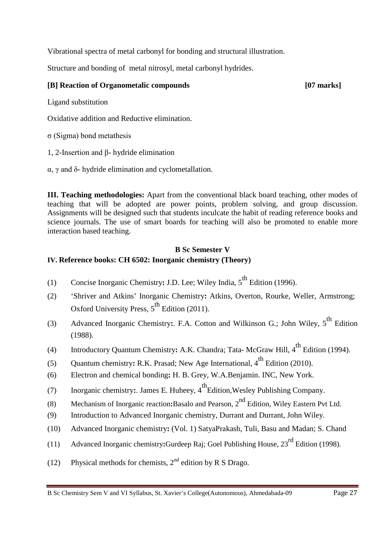Vibrational spectra of metal carbonyl for bonding and structural illustration.

Structure and bonding of metal nitrosyl, metal carbonyl hydrides.

### **[B] Reaction of Organometalic compounds [07 marks]**

Ligand substitution

Oxidative addition and Reductive elimination.

σ (Sigma) bond metathesis

1, 2-Insertion and β- hydride elimination

α, γ and δ- hydride elimination and cyclometallation.

**III. Teaching methodologies:** Apart from the conventional black board teaching, other modes of teaching that will be adopted are power points, problem solving, and group discussion. Assignments will be designed such that students inculcate the habit of reading reference books and science journals. The use of smart boards for teaching will also be promoted to enable more interaction based teaching.

### **B Sc Semester V IV. Reference books: CH 6502: Inorganic chemistry (Theory)**

- (1) Concise Inorganic Chemistry: J.D. Lee; Wiley India, 5<sup>th</sup> Edition (1996).
- (2) 'Shriver and Atkins' Inorganic Chemistry**:** Atkins, Overton, Rourke, Weller, Armstrong; Oxford University Press,  $5^{th}$  Edition (2011).
- (3) Advanced Inorganic Chemistry: F.A. Cotton and Wilkinson G.; John Wiley, 5<sup>th</sup> Edition (1988).
- (4) Introductory Quantum Chemistry: A.K. Chandra; Tata- McGraw Hill, 4<sup>th</sup> Edition (1994).
- (5) Quantum chemistry: R.K. Prasad; New Age International, 4<sup>th</sup> Edition (2010).
- (6) Electron and chemical bonding**:** H. B. Grey, W.A.Benjamin. INC, New York.
- (7) Inorganic chemistry: James E. Huheey, 4<sup>th</sup>Edition, Wesley Publishing Company.
- (8) Mechanism of Inorganic reaction**:**Basalo and Pearson, 2nd Edition, Wiley Eastern Pvt Ltd.
- (9) Introduction to Advanced Inorganic chemistry, Durrant and Durrant, John Wiley.
- (10) Advanced Inorganic chemistry**:** (Vol. 1) SatyaPrakash, Tuli, Basu and Madan; S. Chand
- (11) Advanced Inorganic chemistry**:**Gurdeep Raj; Goel Publishing House, 23rd Edition (1998).
- (12) Physical methods for chemists,  $2<sup>nd</sup>$  edition by R S Drago.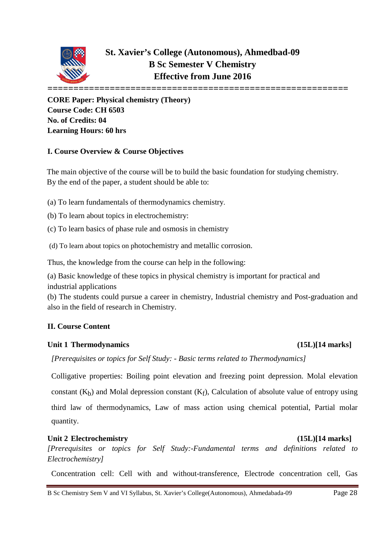

**CORE Paper: Physical chemistry (Theory) Course Code: CH 6503 No. of Credits: 04 Learning Hours: 60 hrs**

### **I. Course Overview & Course Objectives**

The main objective of the course will be to build the basic foundation for studying chemistry. By the end of the paper, a student should be able to:

(a) To learn fundamentals of thermodynamics chemistry.

(b) To learn about topics in electrochemistry:

(c) To learn basics of phase rule and osmosis in chemistry

(d) To learn about topics on photochemistry and metallic corrosion.

Thus, the knowledge from the course can help in the following:

(a) Basic knowledge of these topics in physical chemistry is important for practical and industrial applications

(b) The students could pursue a career in chemistry, Industrial chemistry and Post-graduation and also in the field of research in Chemistry.

### **II. Course Content**

### **Unit 1 Thermodynamics (15L)[14 marks]**

 *[Prerequisites or topics for Self Study: - Basic terms related to Thermodynamics]* 

Colligative properties: Boiling point elevation and freezing point depression. Molal elevation constant  $(K_h)$  and Molal depression constant  $(K_f)$ , Calculation of absolute value of entropy using third law of thermodynamics, Law of mass action using chemical potential, Partial molar quantity.

### Unit 2 **Electrochemistry** (15L)[14 marks]

*[Prerequisites or topics for Self Study:-Fundamental terms and definitions related to Electrochemistry]*

Concentration cell: Cell with and without-transference, Electrode concentration cell, Gas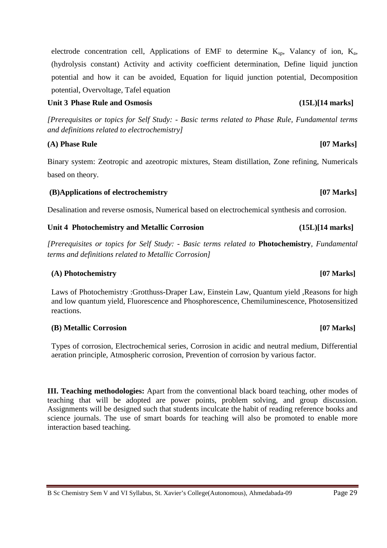electrode concentration cell, Applications of EMF to determine  $K_{sp}$ , Valancy of ion,  $K_{a}$ , (hydrolysis constant) Activity and activity coefficient determination, Define liquid junction potential and how it can be avoided, Equation for liquid junction potential, Decomposition potential, Overvoltage, Tafel equation

### Unit 3 Phase Rule and Osmosis (15L)[14 marks]

*[Prerequisites or topics for Self Study: - Basic terms related to Phase Rule, Fundamental terms and definitions related to electrochemistry]*

### **(A) Phase Rule [07 Marks]**

Binary system: Zeotropic and azeotropic mixtures, Steam distillation, Zone refining, Numericals based on theory.

### **(B)Applications of electrochemistry [07 Marks]**

Desalination and reverse osmosis, Numerical based on electrochemical synthesis and corrosion.

### **Unit 4 Photochemistry and Metallic Corrosion (15L)[14 marks]**

*[Prerequisites or topics for Self Study: - Basic terms related to* **Photochemistry***, Fundamental terms and definitions related to Metallic Corrosion]*

### **(A) Photochemistry [07 Marks]**

Laws of Photochemistry :Grotthuss-Draper Law, Einstein Law, Quantum yield ,Reasons for high and low quantum yield, Fluorescence and Phosphorescence, Chemiluminescence, Photosensitized reactions.

### **(B) Metallic Corrosion [07 Marks]**

Types of corrosion, Electrochemical series, Corrosion in acidic and neutral medium, Differential aeration principle, Atmospheric corrosion, Prevention of corrosion by various factor.

**III. Teaching methodologies:** Apart from the conventional black board teaching, other modes of teaching that will be adopted are power points, problem solving, and group discussion. Assignments will be designed such that students inculcate the habit of reading reference books and science journals. The use of smart boards for teaching will also be promoted to enable more interaction based teaching.

B Sc Chemistry Sem V and VI Syllabus, St. Xavier's College(Autonomous), Ahmedabada-09 Page 29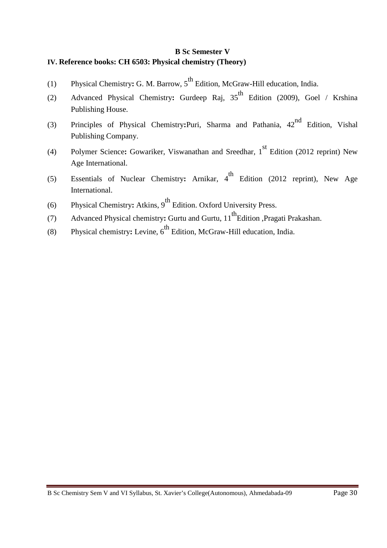### **B Sc Semester V IV. Reference books: CH 6503: Physical chemistry (Theory)**

- (1) Physical Chemistry: G. M. Barrow, 5<sup>th</sup> Edition, McGraw-Hill education, India.
- (2) Advanced Physical Chemistry: Gurdeep Raj, 35<sup>th</sup> Edition (2009), Goel / Krshina Publishing House.
- (3) Principles of Physical Chemistry**:**Puri, Sharma and Pathania, 42nd Edition, Vishal Publishing Company.
- (4) Polymer Science: Gowariker, Viswanathan and Sreedhar, 1<sup>st</sup> Edition (2012 reprint) New Age International.
- (5) Essentials of Nuclear Chemistry: Arnikar, 4<sup>th</sup> Edition (2012 reprint), New Age International.
- (6) Physical Chemistry: Atkins, 9<sup>th</sup> Edition. Oxford University Press.
- (7) Advanced Physical chemistry: Gurtu and Gurtu, 11<sup>th</sup>Edition ,Pragati Prakashan.
- (8) Physical chemistry: Levine, 6<sup>th</sup> Edition, McGraw-Hill education, India.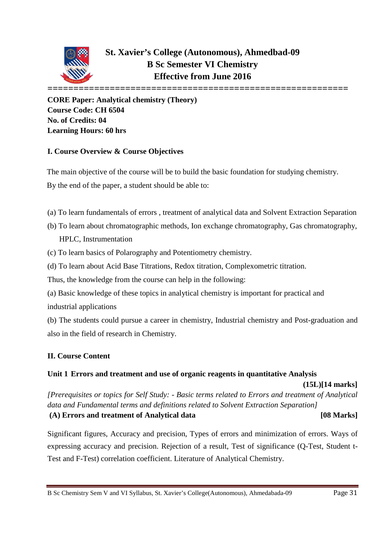

**CORE Paper: Analytical chemistry (Theory) Course Code: CH 6504 No. of Credits: 04 Learning Hours: 60 hrs**

### **I. Course Overview & Course Objectives**

The main objective of the course will be to build the basic foundation for studying chemistry.

By the end of the paper, a student should be able to:

- (a) To learn fundamentals of errors , treatment of analytical data and Solvent Extraction Separation
- (b) To learn about chromatographic methods, Ion exchange chromatography, Gas chromatography, HPLC, Instrumentation
- (c) To learn basics of Polarography and Potentiometry chemistry.
- (d) To learn about Acid Base Titrations, Redox titration, Complexometric titration.

Thus, the knowledge from the course can help in the following:

(a) Basic knowledge of these topics in analytical chemistry is important for practical and industrial applications

(b) The students could pursue a career in chemistry, Industrial chemistry and Post-graduation and also in the field of research in Chemistry.

### **II. Course Content**

### **Unit 1 Errors and treatment and use of organic reagents in quantitative Analysis**

 **(15L)[14 marks]** *[Prerequisites or topics for Self Study: - Basic terms related to Errors and treatment of Analytical data and Fundamental terms and definitions related to Solvent Extraction Separation]* **(A) Errors and treatment of Analytical data [08 Marks]**

Significant figures, Accuracy and precision, Types of errors and minimization of errors. Ways of expressing accuracy and precision. Rejection of a result, Test of significance (Q-Test, Student t-Test and F-Test) correlation coefficient. Literature of Analytical Chemistry.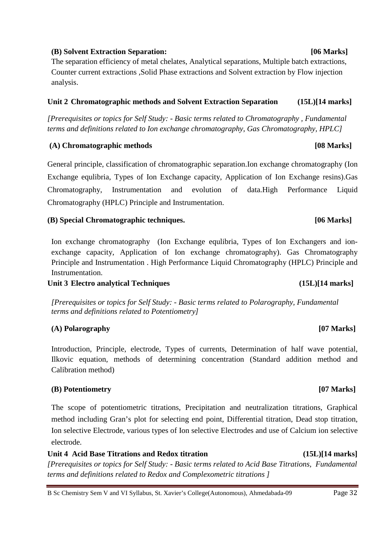### **(B) Solvent Extraction Separation: [06 Marks]**

The separation efficiency of metal chelates, Analytical separations, Multiple batch extractions, Counter current extractions ,Solid Phase extractions and Solvent extraction by Flow injection analysis.

### **Unit 2 Chromatographic methods and Solvent Extraction Separation (15L)[14 marks]**

*[Prerequisites or topics for Self Study: - Basic terms related to Chromatography , Fundamental terms and definitions related to Ion exchange chromatography, Gas Chromatography, HPLC]*

### **(A) Chromatographic methods [08 Marks]**

General principle, classification of chromatographic separation.Ion exchange chromatography (Ion Exchange equlibria, Types of Ion Exchange capacity, Application of Ion Exchange resins).Gas Chromatography, Instrumentation and evolution of data.High Performance Liquid Chromatography (HPLC) Principle and Instrumentation.

### **(B) Special Chromatographic techniques. [06 Marks]**

Ion exchange chromatography (Ion Exchange equlibria, Types of Ion Exchangers and ionexchange capacity, Application of Ion exchange chromatography). Gas Chromatography Principle and Instrumentation . High Performance Liquid Chromatography (HPLC) Principle and Instrumentation.

### Unit 3 Electro analytical Techniques (15L)[14 marks]

*[Prerequisites or topics for Self Study: - Basic terms related to Polarography, Fundamental terms and definitions related to Potentiometry]*

### **(A) Polarography [07 Marks]**

Introduction, Principle, electrode, Types of currents, Determination of half wave potential, Ilkovic equation, methods of determining concentration (Standard addition method and Calibration method)

### **(B) Potentiometry [07 Marks]**

The scope of potentiometric titrations, Precipitation and neutralization titrations, Graphical method including Gran's plot for selecting end point, Differential titration, Dead stop titration, Ion selective Electrode, various types of Ion selective Electrodes and use of Calcium ion selective electrode.

**Unit 4 Acid Base Titrations and Redox titration (15L)[14 marks]** *[Prerequisites or topics for Self Study: - Basic terms related to Acid Base Titrations, Fundamental terms and definitions related to Redox and Complexometric titrations ]*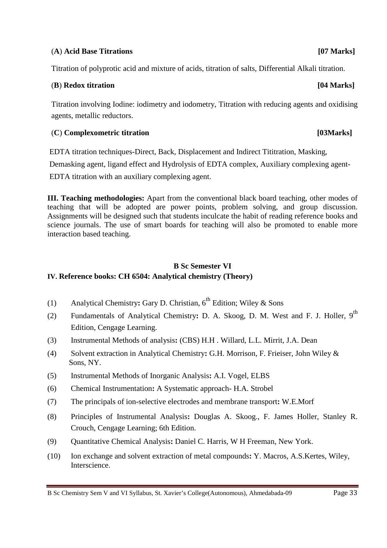### (**A**) **Acid Base Titrations [07 Marks]**

Titration of polyprotic acid and mixture of acids, titration of salts, Differential Alkali titration.

### (**B**) **Redox titration [04 Marks]**

Titration involving Iodine: iodimetry and iodometry, Titration with reducing agents and oxidising agents, metallic reductors.

### (**C**) **Complexometric titration [03Marks]**

EDTA titration techniques-Direct, Back, Displacement and Indirect Tititration, Masking,

Demasking agent, ligand effect and Hydrolysis of EDTA complex, Auxiliary complexing agent-

EDTA titration with an auxiliary complexing agent.

**III. Teaching methodologies:** Apart from the conventional black board teaching, other modes of teaching that will be adopted are power points, problem solving, and group discussion. Assignments will be designed such that students inculcate the habit of reading reference books and science journals. The use of smart boards for teaching will also be promoted to enable more interaction based teaching.

### **B Sc Semester VI IV. Reference books: CH 6504: Analytical chemistry (Theory)**

- (1) Analytical Chemistry: Gary D. Christian,  $6^{th}$  Edition; Wiley & Sons
- (2) Fundamentals of Analytical Chemistry**:** D. A. Skoog, D. M. West and F. J. Holler, 9th Edition, Cengage Learning.
- (3) Instrumental Methods of analysis**:** (CBS) H.H . Willard, L.L. Mirrit, J.A. Dean
- (4) Solvent extraction in Analytical Chemistry**:** G.H. Morrison, F. Frieiser, John Wiley & Sons, NY.
- (5) Instrumental Methods of Inorganic Analysis**:** A.I. Vogel, ELBS
- (6) Chemical Instrumentation**:** A Systematic approach- H.A. Strobel
- (7) The principals of ion-selective electrodes and membrane transport**:** W.E.Morf
- (8) Principles of Instrumental Analysis**:** Douglas A. Skoog., F. James Holler, Stanley R. Crouch, Cengage Learning; 6th Edition.
- (9) Quantitative Chemical Analysis**:** Daniel C. Harris, W H Freeman, New York.
- (10) Ion exchange and solvent extraction of metal compounds**:** Y. Macros, A.S.Kertes, Wiley, Interscience.

B Sc Chemistry Sem V and VI Syllabus, St. Xavier's College(Autonomous), Ahmedabada-09 Page 33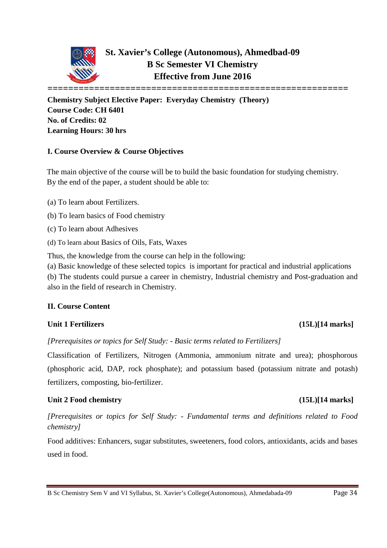

**Chemistry Subject Elective Paper: Everyday Chemistry (Theory) Course Code: CH 6401 No. of Credits: 02 Learning Hours: 30 hrs**

### **I. Course Overview & Course Objectives**

The main objective of the course will be to build the basic foundation for studying chemistry. By the end of the paper, a student should be able to:

- (a) To learn about Fertilizers.
- (b) To learn basics of Food chemistry

(c) To learn about Adhesives

(d) To learn about Basics of Oils, Fats, Waxes

Thus, the knowledge from the course can help in the following:

(a) Basic knowledge of these selected topics is important for practical and industrial applications (b) The students could pursue a career in chemistry, Industrial chemistry and Post-graduation and also in the field of research in Chemistry.

### **II. Course Content**

### **Unit 1 Fertilizers (15L)[14 marks]**

*[Prerequisites or topics for Self Study: - Basic terms related to Fertilizers]*

Classification of Fertilizers, Nitrogen (Ammonia, ammonium nitrate and urea); phosphorous (phosphoric acid, DAP, rock phosphate); and potassium based (potassium nitrate and potash) fertilizers, composting, bio-fertilizer.

### Unit 2 Food chemistry (15L)[14 marks]

*[Prerequisites or topics for Self Study: - Fundamental terms and definitions related to Food chemistry]*

Food additives: Enhancers, sugar substitutes, sweeteners, food colors, antioxidants, acids and bases used in food.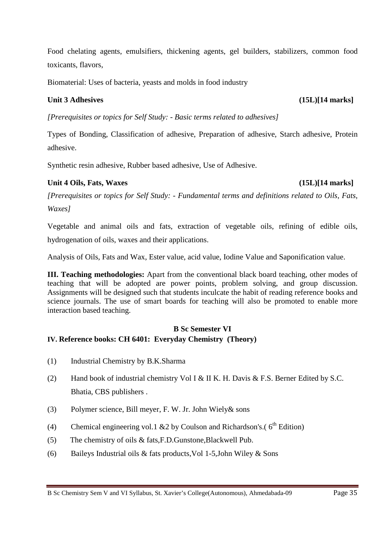Food chelating agents, emulsifiers, thickening agents, gel builders, stabilizers, common food toxicants, flavors,

Biomaterial: Uses of bacteria, yeasts and molds in food industry

### Unit 3 Adhesives (15L)[14 marks]

*[Prerequisites or topics for Self Study: - Basic terms related to adhesives]*

Types of Bonding, Classification of adhesive, Preparation of adhesive, Starch adhesive, Protein adhesive.

Synthetic resin adhesive, Rubber based adhesive, Use of Adhesive.

### Unit 4 Oils, Fats, Waxes (15L)[14 marks]

*[Prerequisites or topics for Self Study: - Fundamental terms and definitions related to Oils, Fats, Waxes]*

Vegetable and animal oils and fats, extraction of vegetable oils, refining of edible oils, hydrogenation of oils, waxes and their applications.

Analysis of Oils, Fats and Wax, Ester value, acid value, Iodine Value and Saponification value.

**III. Teaching methodologies:** Apart from the conventional black board teaching, other modes of teaching that will be adopted are power points, problem solving, and group discussion. Assignments will be designed such that students inculcate the habit of reading reference books and science journals. The use of smart boards for teaching will also be promoted to enable more interaction based teaching.

### **B Sc Semester VI IV. Reference books: CH 6401: Everyday Chemistry (Theory)**

- (1) Industrial Chemistry by B.K.Sharma
- (2) Hand book of industrial chemistry Vol I & II K. H. Davis & F.S. Berner Edited by S.C. Bhatia, CBS publishers .
- (3) Polymer science, Bill meyer, F. W. Jr. John Wiely& sons
- (4) Chemical engineering vol.1 & 2 by Coulson and Richardson's.( $6<sup>th</sup>$  Edition)
- (5) The chemistry of oils & fats,F.D.Gunstone,Blackwell Pub.
- (6) Baileys Industrial oils  $&$  fats products, Vol 1-5, John Wiley  $&$  Sons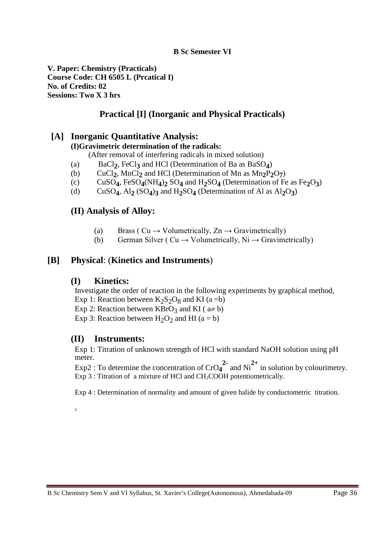**V. Paper: Chemistry (Practicals) Course Code: CH 6505 L (Prcatical I) No. of Credits: 02 Sessions: Two X 3 hrs**

### **Practical [I] (Inorganic and Physical Practicals)**

### **[A] Inorganic Quantitative Analysis:**

### **(I)Gravimetric determination of the radicals:**

(After removal of interfering radicals in mixed solution)

- 
- (a) BaCl<sub>2</sub>, FeCl<sub>3</sub> and HCl (Determination of Ba as BaSO<sub>4</sub>)<br>
(b) CuCl<sub>2</sub>, MnCl<sub>2</sub> and HCl (Determination of Mn as Mn<sub>2</sub>P<sub>2</sub> (b) CuCl<sub>2</sub>, MnCl<sub>2</sub> and HCl (Determination of Mn as  $Mn_2P_2O_7$ )<br>(c) CuSO<sub>4</sub>, FeSO<sub>4</sub>(NH<sub>4</sub>)<sub>2</sub> SO<sub>4</sub> and H<sub>2</sub>SO<sub>4</sub> (Determination of Fe
- (c) CuSO<sub>4</sub>, FeSO<sub>4</sub>(NH<sub>4</sub>)<sub>2</sub> SO<sub>4</sub> and H<sub>2</sub>SO<sub>4</sub> (Determination of Fe as Fe<sub>2</sub>O<sub>3</sub>)<br>(d) CuSO<sub>4</sub>, Al<sub>2</sub> (SO<sub>4</sub>)<sub>3</sub> and H<sub>2</sub>SO<sub>4</sub> (Determination of Al as Al<sub>2</sub>O<sub>3</sub>)
- $CuSO<sub>4</sub>$ , Al<sub>2</sub>  $(SO<sub>4</sub>)$ <sub>3</sub> and H<sub>2</sub>SO<sub>4</sub> (Determination of Al as Al<sub>2</sub>O<sub>3</sub>)

### **(II) Analysis of Alloy:**

- (a) Brass ( $Cu \rightarrow Volumetrically, Zn \rightarrow Gravimetrically$ )
- (b) German Silver ( $Cu \rightarrow Volumetrically, Ni \rightarrow Gravimetrically$ )

### **[B] Physical**: (**Kinetics and Instruments**)

### **(I) Kinetics:**

Investigate the order of reaction in the following experiments by graphical method,

- Exp 1: Reaction between  $K_2S_2O_8$  and KI (a =b)
- Exp 2: Reaction between KBrO<sub>3</sub> and KI ( $a \ne b$ )
- Exp 3: Reaction between  $H_2O_2$  and HI (a = b)

### **(II) Instruments:**

.

Exp 1: Titration of unknown strength of HCl with standard NaOH solution using pH meter.

Exp2 : To determine the concentration of  $CrO_4^2$  and  $Ni^{2+}$  in solution by colourimetry. Exp 3 : Titration of a mixture of HCl and  $CH<sub>3</sub>COOH$  potentiometrically.

Exp 4 : Determination of normality and amount of given halide by conductometric titration.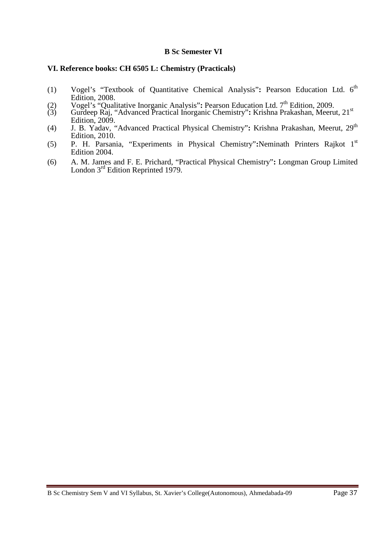### **VI. Reference books: CH 6505 L: Chemistry (Practicals)**

- (1) Vogel's "Textbook of Quantitative Chemical Analysis"**:** Pearson Education Ltd. 6th Edition, 2008.
- (2) Vogel's "Qualitative Inorganic Analysis": Pearson Education Ltd. 7<sup>th</sup> Edition, 2009.
- (3) Gurdeep Raj, "Advanced Practical Inorganic Chemistry"**:** Krishna Prakashan, Meerut, 21st Edition, 2009.
- (4) J. B. Yadav, "Advanced Practical Physical Chemistry"**:** Krishna Prakashan, Meerut, 29th Edition, 2010.
- (5) P. H. Parsania, "Experiments in Physical Chemistry"**:**Neminath Printers Rajkot 1st Edition 2004.
- (6) A. M. James and F. E. Prichard, "Practical Physical Chemistry"**:** Longman Group Limited London 3<sup>rd</sup> Edition Reprinted 1979.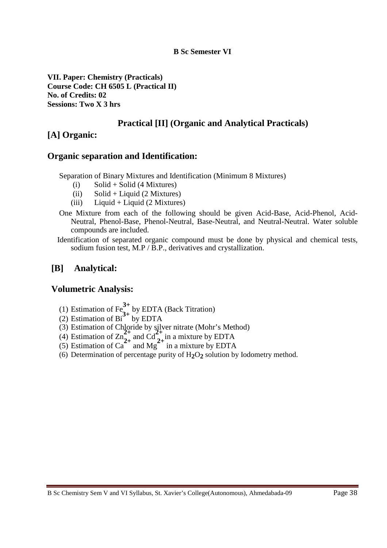**VII. Paper: Chemistry (Practicals) Course Code: CH 6505 L (Practical II) No. of Credits: 02 Sessions: Two X 3 hrs**

### **Practical [II] (Organic and Analytical Practicals)**

### **[A] Organic:**

### **Organic separation and Identification:**

Separation of Binary Mixtures and Identification (Minimum 8 Mixtures)

- (i)  $\text{Solid} + \text{Solid}$  (4 Mixtures)
- (ii) Solid + Liquid (2 Mixtures)
- (iii) Liquid + Liquid  $(2$  Mixtures)
- One Mixture from each of the following should be given Acid-Base, Acid-Phenol, Acid-Neutral, Phenol-Base, Phenol-Neutral, Base-Neutral, and Neutral-Neutral. Water soluble compounds are included.
- Identification of separated organic compound must be done by physical and chemical tests, sodium fusion test, M.P / B.P., derivatives and crystallization.

### **[B] Analytical:**

### **Volumetric Analysis:**

- (1) Estimation of  $Fe_{2}^{3+}$  by EDTA (Back Titration)
- (2) Estimation of  $Bi^{3+}$  by EDTA
- (3) Estimation of Chloride by silver nitrate (Mohr's Method)
- (4) Estimation of  $\text{Zn}_{2+}^2$  and  $\text{Cd}_{2+}^2$  in a mixture by EDTA
- (5) Estimation of  $Ca^{2+}$  and Mg<sup>2+</sup> in a mixture by EDTA
- (6) Determination of percentage purity of H**2**O**2** solution by Iodometry method.